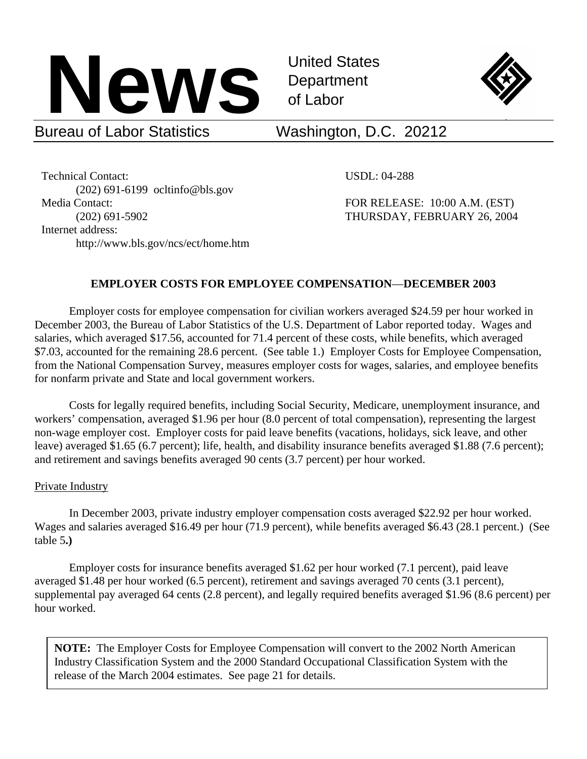

United States



## Bureau of Labor Statistics Washington, D.C. 20212

Technical Contact: USDL: 04-288 (202) 691-6199 ocltinfo@bls.gov Media Contact: FOR RELEASE: 10:00 A.M. (EST) Internet address: http://www.bls.gov/ncs/ect/home.htm

 $\overline{a}$ 

(202) 691-5902 THURSDAY, FEBRUARY 26, 2004

#### **EMPLOYER COSTS FOR EMPLOYEE COMPENSATION**—**DECEMBER 2003**

Employer costs for employee compensation for civilian workers averaged \$24.59 per hour worked in December 2003, the Bureau of Labor Statistics of the U.S. Department of Labor reported today. Wages and salaries, which averaged \$17.56, accounted for 71.4 percent of these costs, while benefits, which averaged \$7.03, accounted for the remaining 28.6 percent. (See table 1.) Employer Costs for Employee Compensation, from the National Compensation Survey, measures employer costs for wages, salaries, and employee benefits for nonfarm private and State and local government workers.

 Costs for legally required benefits, including Social Security, Medicare, unemployment insurance, and workers' compensation, averaged \$1.96 per hour (8.0 percent of total compensation), representing the largest non-wage employer cost. Employer costs for paid leave benefits (vacations, holidays, sick leave, and other leave) averaged \$1.65 (6.7 percent); life, health, and disability insurance benefits averaged \$1.88 (7.6 percent); and retirement and savings benefits averaged 90 cents (3.7 percent) per hour worked.

#### Private Industry

In December 2003, private industry employer compensation costs averaged \$22.92 per hour worked. Wages and salaries averaged \$16.49 per hour (71.9 percent), while benefits averaged \$6.43 (28.1 percent.) (See table 5**.)** 

 Employer costs for insurance benefits averaged \$1.62 per hour worked (7.1 percent), paid leave averaged \$1.48 per hour worked (6.5 percent), retirement and savings averaged 70 cents (3.1 percent), supplemental pay averaged 64 cents (2.8 percent), and legally required benefits averaged \$1.96 (8.6 percent) per hour worked.

**NOTE:** The Employer Costs for Employee Compensation will convert to the 2002 North American Industry Classification System and the 2000 Standard Occupational Classification System with the release of the March 2004 estimates. See page 21 for details.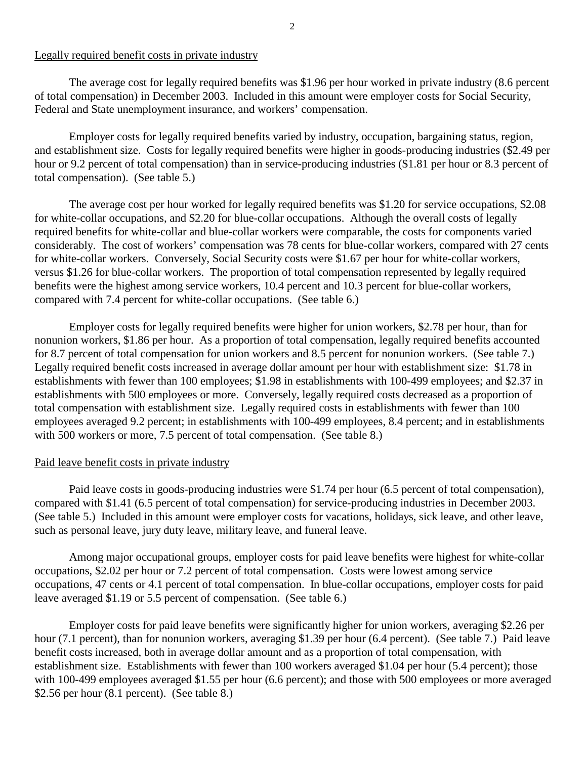#### Legally required benefit costs in private industry

 The average cost for legally required benefits was \$1.96 per hour worked in private industry (8.6 percent of total compensation) in December 2003. Included in this amount were employer costs for Social Security, Federal and State unemployment insurance, and workers' compensation.

Employer costs for legally required benefits varied by industry, occupation, bargaining status, region, and establishment size. Costs for legally required benefits were higher in goods-producing industries (\$2.49 per hour or 9.2 percent of total compensation) than in service-producing industries (\$1.81 per hour or 8.3 percent of total compensation). (See table 5.)

 The average cost per hour worked for legally required benefits was \$1.20 for service occupations, \$2.08 for white-collar occupations, and \$2.20 for blue-collar occupations. Although the overall costs of legally required benefits for white-collar and blue-collar workers were comparable, the costs for components varied considerably. The cost of workers' compensation was 78 cents for blue-collar workers, compared with 27 cents for white-collar workers. Conversely, Social Security costs were \$1.67 per hour for white-collar workers, versus \$1.26 for blue-collar workers. The proportion of total compensation represented by legally required benefits were the highest among service workers, 10.4 percent and 10.3 percent for blue-collar workers, compared with 7.4 percent for white-collar occupations. (See table 6.)

 Employer costs for legally required benefits were higher for union workers, \$2.78 per hour, than for nonunion workers, \$1.86 per hour. As a proportion of total compensation, legally required benefits accounted for 8.7 percent of total compensation for union workers and 8.5 percent for nonunion workers. (See table 7.) Legally required benefit costs increased in average dollar amount per hour with establishment size: \$1.78 in establishments with fewer than 100 employees; \$1.98 in establishments with 100-499 employees; and \$2.37 in establishments with 500 employees or more. Conversely, legally required costs decreased as a proportion of total compensation with establishment size. Legally required costs in establishments with fewer than 100 employees averaged 9.2 percent; in establishments with 100-499 employees, 8.4 percent; and in establishments with 500 workers or more, 7.5 percent of total compensation. (See table 8.)

#### Paid leave benefit costs in private industry

 Paid leave costs in goods-producing industries were \$1.74 per hour (6.5 percent of total compensation), compared with \$1.41 (6.5 percent of total compensation) for service-producing industries in December 2003. (See table 5.) Included in this amount were employer costs for vacations, holidays, sick leave, and other leave, such as personal leave, jury duty leave, military leave, and funeral leave.

 Among major occupational groups, employer costs for paid leave benefits were highest for white-collar occupations, \$2.02 per hour or 7.2 percent of total compensation. Costs were lowest among service occupations, 47 cents or 4.1 percent of total compensation. In blue-collar occupations, employer costs for paid leave averaged \$1.19 or 5.5 percent of compensation. (See table 6.)

 Employer costs for paid leave benefits were significantly higher for union workers, averaging \$2.26 per hour (7.1 percent), than for nonunion workers, averaging \$1.39 per hour (6.4 percent). (See table 7.) Paid leave benefit costs increased, both in average dollar amount and as a proportion of total compensation, with establishment size. Establishments with fewer than 100 workers averaged \$1.04 per hour (5.4 percent); those with 100-499 employees averaged \$1.55 per hour (6.6 percent); and those with 500 employees or more averaged \$2.56 per hour (8.1 percent). (See table 8.)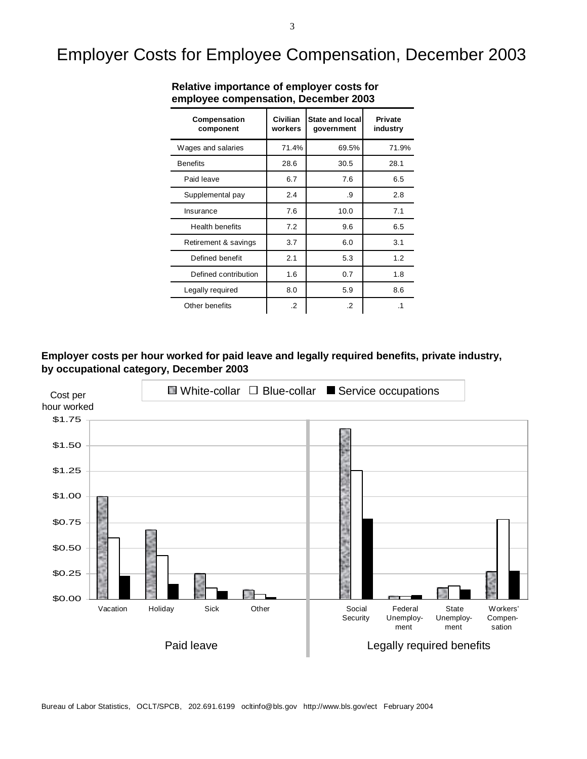# Employer Costs for Employee Compensation, December 2003

| Compensation<br>component | Civilian<br>workers | State and local<br>government | <b>Private</b><br>industry |
|---------------------------|---------------------|-------------------------------|----------------------------|
| Wages and salaries        | 71.4%               | 69.5%                         | 71.9%                      |
| <b>Benefits</b>           | 28.6                | 30.5                          | 28.1                       |
| Paid leave                | 6.7                 | 7.6                           | 6.5                        |
| Supplemental pay          | 2.4                 | .9                            | 2.8                        |
| Insurance                 | 7.6                 | 10.0                          | 7.1                        |
| <b>Health benefits</b>    | 7.2                 | 9.6                           | 6.5                        |
| Retirement & savings      | 3.7                 | 6.0                           | 3.1                        |
| Defined benefit           | 2.1                 | 5.3                           | 1.2                        |
| Defined contribution      | 1.6                 | 0.7                           | 1.8                        |
| Legally required          | 8.0                 | 5.9                           | 8.6                        |
| Other benefits            | $\cdot$             | $\cdot$                       | $\cdot$ 1                  |

**Relative importance of employer costs for employee compensation, December 2003**

#### **Employer costs per hour worked for paid leave and legally required benefits, private industry, by occupational category, December 2003**

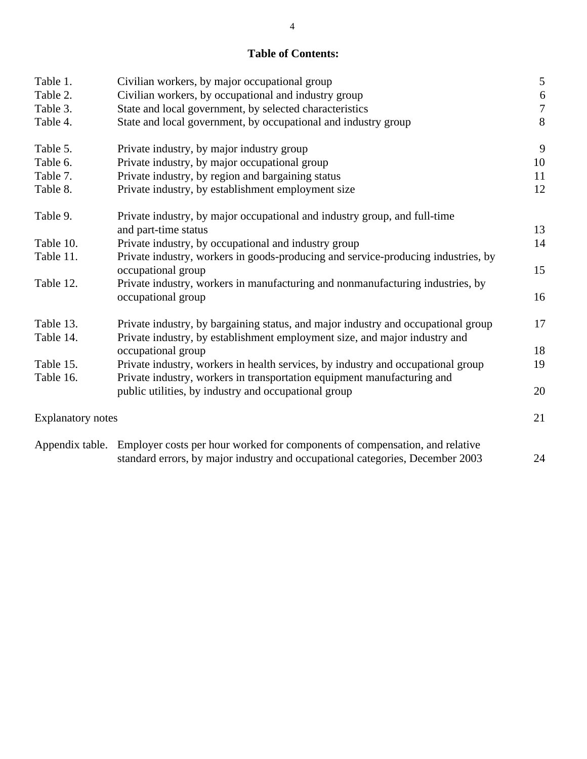### **Table of Contents:**

| Table 1.                 | Civilian workers, by major occupational group                                                        | $\mathfrak{S}$   |
|--------------------------|------------------------------------------------------------------------------------------------------|------------------|
| Table 2.                 | Civilian workers, by occupational and industry group                                                 | $\sqrt{6}$       |
| Table 3.                 | State and local government, by selected characteristics                                              | $\boldsymbol{7}$ |
| Table 4.                 | State and local government, by occupational and industry group                                       | 8                |
| Table 5.                 | Private industry, by major industry group                                                            | 9                |
| Table 6.                 | Private industry, by major occupational group                                                        | 10               |
| Table 7.                 | Private industry, by region and bargaining status                                                    | 11               |
| Table 8.                 | Private industry, by establishment employment size                                                   | 12               |
| Table 9.                 | Private industry, by major occupational and industry group, and full-time                            |                  |
|                          | and part-time status                                                                                 | 13               |
| Table 10.                | Private industry, by occupational and industry group                                                 | 14               |
| Table 11.                | Private industry, workers in goods-producing and service-producing industries, by                    |                  |
|                          | occupational group                                                                                   | 15               |
| Table 12.                | Private industry, workers in manufacturing and nonmanufacturing industries, by<br>occupational group | 16               |
| Table 13.                | Private industry, by bargaining status, and major industry and occupational group                    | 17               |
| Table 14.                | Private industry, by establishment employment size, and major industry and                           |                  |
|                          | occupational group                                                                                   | 18               |
| Table 15.                | Private industry, workers in health services, by industry and occupational group                     | 19               |
| Table 16.                | Private industry, workers in transportation equipment manufacturing and                              |                  |
|                          | public utilities, by industry and occupational group                                                 | 20               |
| <b>Explanatory notes</b> |                                                                                                      | 21               |
| Appendix table.          | Employer costs per hour worked for components of compensation, and relative                          |                  |
|                          | standard errors, by major industry and occupational categories, December 2003                        | 24               |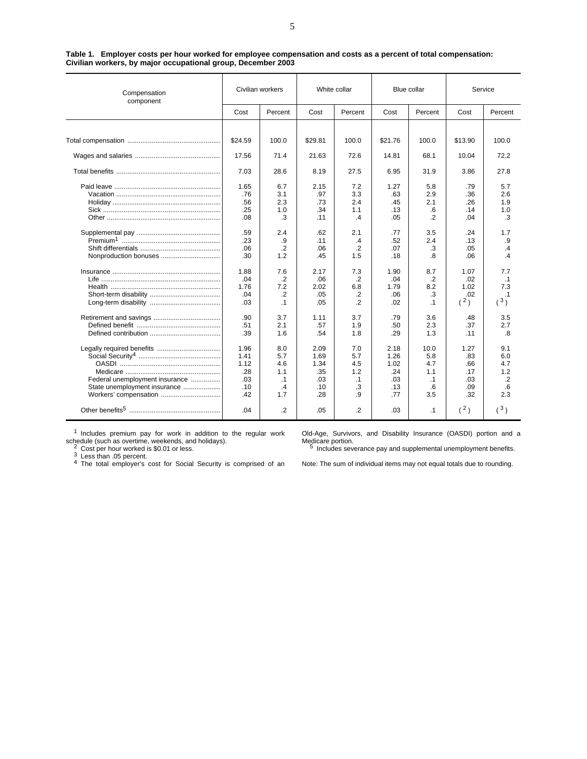| Compensation<br>component      | Civilian workers |            | White collar |                |             | Blue collar    | Service    |               |
|--------------------------------|------------------|------------|--------------|----------------|-------------|----------------|------------|---------------|
|                                | Cost             | Percent    | Cost         | Percent        | Cost        | Percent        | Cost       | Percent       |
|                                |                  |            |              |                |             |                |            |               |
|                                | \$24.59          | 100.0      | \$29.81      | 100.0          | \$21.76     | 100.0          | \$13.90    | 100.0         |
|                                | 17.56            | 71.4       | 21.63        | 72.6           | 14.81       | 68.1           | 10.04      | 72.2          |
|                                | 7.03             | 28.6       | 8.19         | 27.5           | 6.95        | 31.9           | 3.86       | 27.8          |
|                                | 1.65<br>.76      | 6.7<br>3.1 | 2.15<br>.97  | 7.2<br>3.3     | 1.27<br>.63 | 5.8<br>2.9     | .79<br>.36 | 5.7<br>2.6    |
|                                | .56              | 2.3        | .73          | 2.4            | .45         | 2.1            | .26        | 1.9           |
|                                | .25              | 1.0        | .34          | 1.1            | .13         | .6             | .14        | 1.0           |
|                                | .08              | .3         | .11          | .4             | .05         | $\overline{2}$ | .04        | .3            |
|                                | .59              | 2.4        | .62          | 2.1            | .77         | 3.5            | .24        | 1.7           |
|                                | .23              | .9         | .11          | $\cdot$        | .52         | 2.4            | .13        | .9            |
|                                | .06              | $\cdot$    | .06          | .2             | .07         | .3             | .05        | $\cdot$       |
|                                | .30              | 1.2        | .45          | 1.5            | .18         | .8             | .06        | $\mathcal{A}$ |
|                                | 1.88             | 7.6        | 2.17         | 7.3            | 1.90        | 8.7            | 1.07       | 7.7           |
|                                | .04              | $\cdot$    | .06          | $\cdot$ .2     | .04         | $\cdot$        | .02        | $\cdot$ 1     |
|                                | 1.76             | 7.2        | 2.02         | 6.8            | 1.79        | 8.2            | 1.02       | 7.3           |
|                                | .04              | $\cdot$    | .05          | $\cdot$        | .06         | .3             | .02        | $\cdot$ 1     |
|                                | .03              | $\cdot$ 1  | .05          | $\overline{2}$ | .02         | $\cdot$ 1      | (2)        | (3)           |
|                                | .90              | 3.7        | 1.11         | 3.7            | .79         | 3.6            | .48        | 3.5           |
|                                | .51              | 2.1        | .57          | 1.9            | .50         | 2.3            | .37        | 2.7           |
|                                | .39              | 1.6        | .54          | 1.8            | .29         | 1.3            | .11        | .8            |
|                                | 1.96             | 8.0        | 2.09         | 7.0            | 2.18        | 10.0           | 1.27       | 9.1           |
|                                | 1.41             | 5.7        | 1.69         | 5.7            | 1.26        | 5.8            | .83        | 6.0           |
|                                | 1.12             | 4.6        | 1.34         | 4.5            | 1.02        | 4.7            | .66        | 4.7           |
|                                | .28              | 1.1        | .35          | 1.2            | .24         | 1.1            | .17        | 1.2           |
| Federal unemployment insurance | .03              | $\cdot$ 1  | .03          | $\cdot$ 1      | .03         | .1             | .03        | $\cdot$ .2    |
| State unemployment insurance   | .10              | .4         | .10          | .3             | .13         | .6             | .09        | .6            |
| Workers' compensation          | .42              | 1.7        | .28          | .9             | .77         | 3.5            | .32        | 2.3           |
|                                | .04              | .2         | .05          | .2             | .03         | $\cdot$ 1      | (2)        | (3)           |

|                                                              |  |  | Table 1. Employer costs per hour worked for employee compensation and costs as a percent of total compensation: |  |
|--------------------------------------------------------------|--|--|-----------------------------------------------------------------------------------------------------------------|--|
| Civilian workers, by major occupational group, December 2003 |  |  |                                                                                                                 |  |

<sup>1</sup> Includes premium pay for work in addition to the regular work

schedule (such as overtime, weekends, and holidays).<br><sup>2</sup> Cost per hour worked is \$0.01 or less.<br><sup>3</sup> Less than .05 percent.<br><sup>4</sup> The total employer's cost for Social Security is comprised of an

Old-Age, Survivors, and Disability Insurance (OASDI) portion and a Medicare portion.<br><sup>5</sup> Includes severance pay and supplemental unemployment benefits.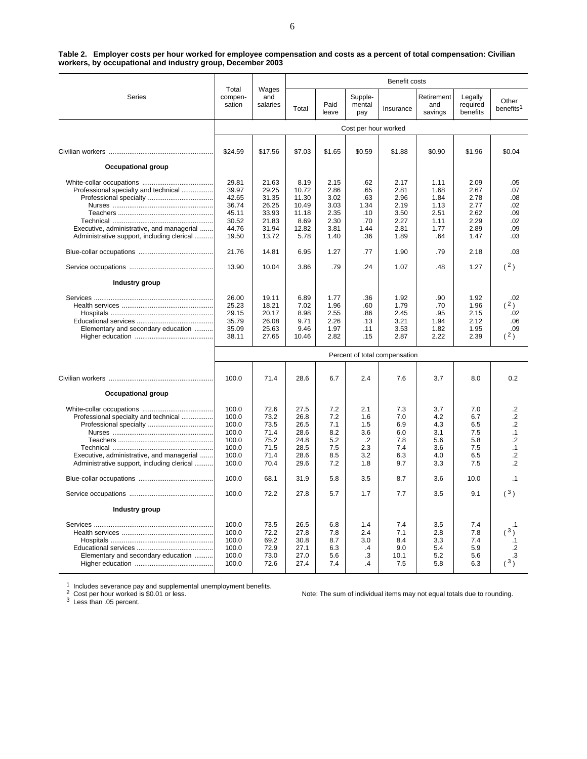| Table 2. Employer costs per hour worked for employee compensation and costs as a percent of total compensation: Civilian |  |
|--------------------------------------------------------------------------------------------------------------------------|--|
| workers, by occupational and industry group, December 2003                                                               |  |

|                                            |                            |                          |                |               |                          | Benefit costs                 |                              |                                 |                                |
|--------------------------------------------|----------------------------|--------------------------|----------------|---------------|--------------------------|-------------------------------|------------------------------|---------------------------------|--------------------------------|
| Series                                     | Total<br>compen-<br>sation | Wages<br>and<br>salaries | Total          | Paid<br>leave | Supple-<br>mental<br>pay | Insurance                     | Retirement<br>and<br>savings | Legally<br>required<br>benefits | Other<br>benefits <sup>1</sup> |
|                                            |                            |                          |                |               | Cost per hour worked     |                               |                              |                                 |                                |
|                                            |                            | \$17.56                  | \$7.03         | \$1.65        | \$0.59                   |                               | \$0.90                       |                                 | \$0.04                         |
|                                            | \$24.59                    |                          |                |               |                          | \$1.88                        |                              | \$1.96                          |                                |
| <b>Occupational group</b>                  |                            |                          |                |               |                          |                               |                              |                                 |                                |
|                                            | 29.81                      | 21.63                    | 8.19           | 2.15          | .62                      | 2.17                          | 1.11                         | 2.09                            | .05                            |
| Professional specialty and technical       | 39.97<br>42.65             | 29.25                    | 10.72<br>11.30 | 2.86<br>3.02  | .65<br>.63               | 2.81                          | 1.68                         | 2.67                            | .07                            |
|                                            | 36.74                      | 31.35<br>26.25           | 10.49          | 3.03          | 1.34                     | 2.96<br>2.19                  | 1.84<br>1.13                 | 2.78<br>2.77                    | .08<br>.02                     |
|                                            | 45.11                      | 33.93                    | 11.18          | 2.35          | .10                      | 3.50                          | 2.51                         | 2.62                            | .09                            |
|                                            | 30.52                      | 21.83                    | 8.69           | 2.30          | .70                      | 2.27                          | 1.11                         | 2.29                            | .02                            |
| Executive, administrative, and managerial  | 44.76                      | 31.94                    | 12.82          | 3.81          | 1.44                     | 2.81                          | 1.77                         | 2.89                            | .09                            |
| Administrative support, including clerical | 19.50                      | 13.72                    | 5.78           | 1.40          | .36                      | 1.89                          | .64                          | 1.47                            | .03                            |
|                                            | 21.76                      | 14.81                    | 6.95           | 1.27          | .77                      | 1.90                          | .79                          | 2.18                            | .03                            |
|                                            | 13.90                      | 10.04                    | 3.86           | .79           | .24                      | 1.07                          | .48                          | 1.27                            | (2)                            |
| Industry group                             |                            |                          |                |               |                          |                               |                              |                                 |                                |
|                                            | 26.00                      | 19.11                    | 6.89           | 1.77          | .36                      | 1.92                          | .90                          | 1.92                            | .02                            |
|                                            | 25.23                      | 18.21                    | 7.02           | 1.96          | .60                      | 1.79                          | .70                          | 1.96                            | (2)                            |
|                                            | 29.15                      | 20.17                    | 8.98           | 2.55          | .86                      | 2.45                          | .95                          | 2.15                            | .02                            |
|                                            | 35.79                      | 26.08                    | 9.71           | 2.26          | .13                      | 3.21                          | 1.94                         | 2.12                            | .06                            |
| Elementary and secondary education         | 35.09                      | 25.63                    | 9.46           | 1.97          | .11                      | 3.53                          | 1.82                         | 1.95                            | .09                            |
|                                            | 38.11                      | 27.65                    | 10.46          | 2.82          | .15                      | 2.87                          | 2.22                         | 2.39                            | (2)                            |
|                                            |                            |                          |                |               |                          | Percent of total compensation |                              |                                 |                                |
|                                            | 100.0                      | 71.4                     | 28.6           | 6.7           | 2.4                      | 7.6                           | 3.7                          | 8.0                             | 0.2                            |
| <b>Occupational group</b>                  |                            |                          |                |               |                          |                               |                              |                                 |                                |
|                                            |                            |                          |                |               |                          |                               |                              |                                 |                                |
|                                            | 100.0                      | 72.6                     | 27.5           | 7.2           | 2.1                      | 7.3                           | 3.7                          | 7.0                             | $\cdot$                        |
| Professional specialty and technical       | 100.0                      | 73.2                     | 26.8           | 7.2           | 1.6                      | 7.0                           | 4.2                          | 6.7                             | .2<br>$\overline{2}$           |
|                                            | 100.0                      | 73.5                     | 26.5           | 7.1           | 1.5                      | 6.9                           | 4.3                          | 6.5                             |                                |
|                                            | 100.0<br>100.0             | 71.4<br>75.2             | 28.6<br>24.8   | 8.2<br>5.2    | 3.6<br>$\cdot$           | 6.0<br>7.8                    | 3.1<br>5.6                   | 7.5<br>5.8                      | $\cdot$ 1<br>$\cdot$ .2        |
|                                            | 100.0                      | 71.5                     | 28.5           | 7.5           | 2.3                      | 7.4                           | 3.6                          | 7.5                             | $\cdot$ 1                      |
| Executive, administrative, and managerial  | 100.0                      | 71.4                     | 28.6           | 8.5           | 3.2                      | 6.3                           | 4.0                          | 6.5                             | $\cdot$ .2                     |
| Administrative support, including clerical | 100.0                      | 70.4                     | 29.6           | 7.2           | 1.8                      | 9.7                           | 3.3                          | 7.5                             | $\cdot$                        |
|                                            | 100.0                      | 68.1                     | 31.9           | 5.8           | 3.5                      | 8.7                           | 3.6                          | 10.0                            | $\cdot$ 1                      |
|                                            | 100.0                      | 72.2                     | 27.8           | 5.7           | 1.7                      | 7.7                           | 3.5                          | 9.1                             | (3)                            |
| Industry group                             |                            |                          |                |               |                          |                               |                              |                                 |                                |
|                                            | 100.0                      | 73.5                     | 26.5           | 6.8           | 1.4                      | 7.4                           | 3.5                          | 7.4                             | $\cdot$ 1                      |
|                                            | 100.0                      | 72.2                     | 27.8           | 7.8           | 2.4                      | 7.1                           | 2.8                          | 7.8                             | (3)                            |
|                                            | 100.0                      | 69.2                     | 30.8           | 8.7           | 3.0                      | 8.4                           | 3.3                          | 7.4                             | .1                             |
|                                            | 100.0                      | 72.9                     | 27.1           | 6.3           | $\cdot$                  | 9.0                           | 5.4                          | 5.9                             | $\cdot$                        |
| Elementary and secondary education         | 100.0                      | 73.0                     | 27.0           | 5.6           | .3                       | 10.1                          | 5.2                          | 5.6                             | .3                             |
|                                            | 100.0                      | 72.6                     | 27.4           | 7.4           | $\overline{A}$           | 7.5                           | 5.8                          | 6.3                             | (3)                            |

1 Includes severance pay and supplemental unemployment benefits.<br>
2 Cost per hour worked is \$0.01 or less.<br>
3 Less than .05 percent.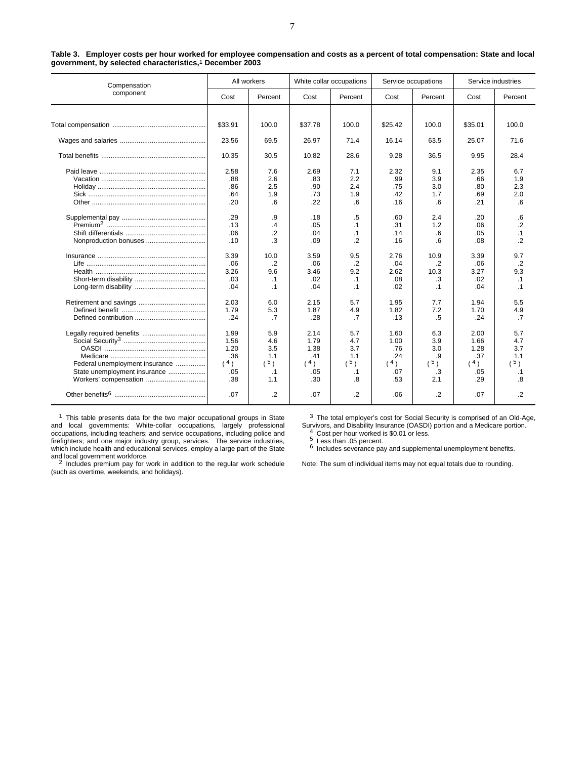| Compensation                   |         | All workers    | White collar occupations |           | Service occupations |           | Service industries |                |  |
|--------------------------------|---------|----------------|--------------------------|-----------|---------------------|-----------|--------------------|----------------|--|
| component                      | Cost    | Percent        | Cost                     | Percent   | Cost                | Percent   | Cost               | Percent        |  |
|                                |         |                |                          |           |                     |           |                    |                |  |
|                                | \$33.91 | 100.0          | \$37.78                  | 100.0     | \$25.42             | 100.0     | \$35.01            | 100.0          |  |
|                                | 23.56   | 69.5           | 26.97                    | 71.4      | 16.14               | 63.5      | 25.07              | 71.6           |  |
|                                | 10.35   | 30.5           | 10.82                    | 28.6      | 9.28                | 36.5      | 9.95               | 28.4           |  |
|                                | 2.58    | 7.6            | 2.69                     | 7.1       | 2.32                | 9.1       | 2.35               | 6.7            |  |
|                                | .88     | 2.6            | .83                      | 2.2       | .99                 | 3.9       | .66                | 1.9            |  |
|                                | .86     | 2.5            | .90                      | 2.4       | .75                 | 3.0       | .80                | 2.3            |  |
|                                | .64     | 1.9            | .73                      | 1.9       | .42                 | 1.7       | .69                | 2.0            |  |
|                                | .20     | .6             | .22                      | .6        | .16                 | .6        | .21                | .6             |  |
|                                | .29     | .9             | .18                      | .5        | .60                 | 2.4       | .20                | .6             |  |
|                                | .13     | $\overline{A}$ | .05                      | .1        | .31                 | 1.2       | .06                | .2             |  |
|                                | .06     | $\overline{2}$ | .04                      | $\cdot$ 1 | .14                 | .6        | .05                | $\cdot$ 1      |  |
| Nonproduction bonuses          | .10     | .3             | .09                      | $\cdot$   | .16                 | 6         | .08                | $\overline{2}$ |  |
|                                | 3.39    | 10.0           | 3.59                     | 9.5       | 2.76                | 10.9      | 3.39               | 9.7            |  |
|                                | .06     | .2             | .06                      | $\cdot$   | .04                 | .2        | .06                | $\overline{2}$ |  |
|                                | 3.26    | 9.6            | 3.46                     | 9.2       | 2.62                | 10.3      | 3.27               | 9.3            |  |
|                                | .03     | $\cdot$ 1      | .02                      | $\cdot$ 1 | .08                 | .3        | .02                | $\cdot$ 1      |  |
|                                | .04     | $\cdot$ 1      | .04                      | $\cdot$ 1 | .02                 | $\cdot$ 1 | .04                | $\cdot$ 1      |  |
|                                | 2.03    | 6.0            | 2.15                     | 5.7       | 1.95                | 7.7       | 1.94               | 5.5            |  |
|                                | 1.79    | 5.3            | 1.87                     | 4.9       | 1.82                | 7.2       | 1.70               | 4.9            |  |
|                                | .24     | .7             | .28                      | .7        | .13                 | .5        | .24                | .7             |  |
|                                | 1.99    | 5.9            | 2.14                     | 5.7       | 1.60                | 6.3       | 2.00               | 5.7            |  |
|                                | 1.56    | 4.6            | 1.79                     | 4.7       | 1.00                | 3.9       | 1.66               | 4.7            |  |
|                                | 1.20    | 3.5            | 1.38                     | 3.7       | .76                 | 3.0       | 1.28               | 3.7            |  |
|                                | .36     | 1.1            | .41                      | 1.1       | .24                 | .9        | .37                | 1.1            |  |
| Federal unemployment insurance | (4)     | $(^{5})$       | (4)                      | (5)       | (4)                 | (5)       | (4)                | (5)            |  |
| State unemployment insurance   | .05     | $\cdot$ 1      | .05                      | $\cdot$ 1 | .07                 | .3        | .05                | .1             |  |
| Workers' compensation          | .38     | 1.1            | .30                      | .8        | .53                 | 2.1       | .29                | 8.             |  |
|                                | .07     | .2             | .07                      | .2        | .06                 | .2        | .07                | .2             |  |

| Table 3. Employer costs per hour worked for employee compensation and costs as a percent of total compensation: State and local |  |  |  |
|---------------------------------------------------------------------------------------------------------------------------------|--|--|--|
| government, by selected characteristics, <sup>1</sup> December 2003                                                             |  |  |  |

 $1$  This table presents data for the two major occupational groups in State and local governments: White-collar occupations, largely professional occupations, including teachers; and service occupations, including police and firefighters; and one major industry group, services. The service industries, which include health and educational services, employ a large part of the State and local government workforce.<br><sup>2</sup> Includes premium pay for work in addition to the regular work schedule

 $3$  The total employer's cost for Social Security is comprised of an Old-Age, Survivors, and Disability Insurance (OASDI) portion and a Medicare portion.<br>4 Cost per hour worked is \$0.01 or less.<br>5 Less than .05 percent.<br>6 Includes severance pay and supplemental unemployment benefits.

(such as overtime, weekends, and holidays).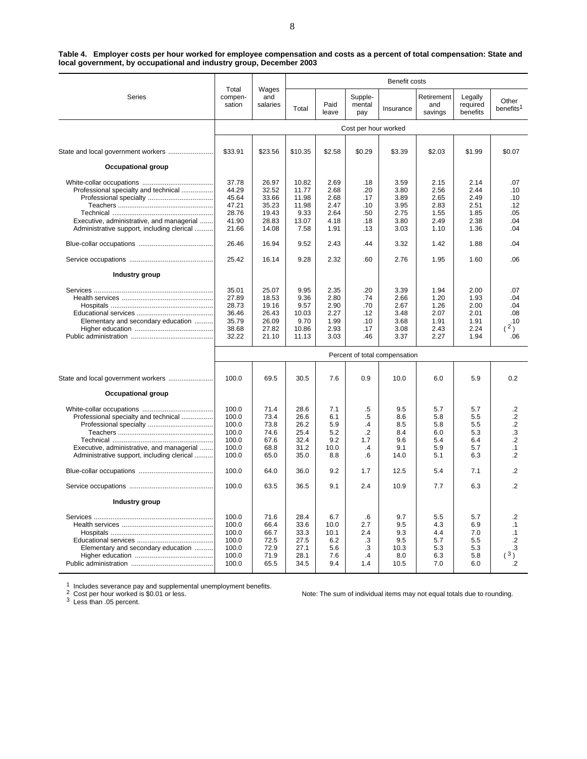| Table 4. Employer costs per hour worked for employee compensation and costs as a percent of total compensation: State and |
|---------------------------------------------------------------------------------------------------------------------------|
| local government, by occupational and industry group, December 2003                                                       |

|                                                                                                                                 |                                                                               |                                                                               | Benefit costs                                                             |                                                                      |                                                                |                                                                      |                                                                      |                                                                      |                                                                 |  |
|---------------------------------------------------------------------------------------------------------------------------------|-------------------------------------------------------------------------------|-------------------------------------------------------------------------------|---------------------------------------------------------------------------|----------------------------------------------------------------------|----------------------------------------------------------------|----------------------------------------------------------------------|----------------------------------------------------------------------|----------------------------------------------------------------------|-----------------------------------------------------------------|--|
| Series                                                                                                                          | Total<br>compen-<br>sation                                                    | Wages<br>and<br>salaries                                                      | Total                                                                     | Paid<br>leave                                                        | Supple-<br>mental<br>pay                                       | Insurance                                                            | Retirement<br>and<br>savings                                         | Legally<br>required<br>benefits                                      | Other<br>benefits <sup>1</sup>                                  |  |
|                                                                                                                                 |                                                                               |                                                                               |                                                                           |                                                                      | Cost per hour worked                                           |                                                                      |                                                                      |                                                                      |                                                                 |  |
|                                                                                                                                 | \$33.91                                                                       | \$23.56                                                                       | \$10.35                                                                   | \$2.58                                                               | \$0.29                                                         | \$3.39                                                               | \$2.03                                                               | \$1.99                                                               | \$0.07                                                          |  |
| <b>Occupational group</b>                                                                                                       |                                                                               |                                                                               |                                                                           |                                                                      |                                                                |                                                                      |                                                                      |                                                                      |                                                                 |  |
| Professional specialty and technical<br>Executive, administrative, and managerial<br>Administrative support, including clerical | 37.78<br>44.29<br>45.64<br>47.21<br>28.76<br>41.90<br>21.66<br>26.46<br>25.42 | 26.97<br>32.52<br>33.66<br>35.23<br>19.43<br>28.83<br>14.08<br>16.94<br>16.14 | 10.82<br>11.77<br>11.98<br>11.98<br>9.33<br>13.07<br>7.58<br>9.52<br>9.28 | 2.69<br>2.68<br>2.68<br>2.47<br>2.64<br>4.18<br>1.91<br>2.43<br>2.32 | .18<br>.20<br>.17<br>.10<br>.50<br>.18<br>.13<br>.44<br>.60    | 3.59<br>3.80<br>3.89<br>3.95<br>2.75<br>3.80<br>3.03<br>3.32<br>2.76 | 2.15<br>2.56<br>2.65<br>2.83<br>1.55<br>2.49<br>1.10<br>1.42<br>1.95 | 2.14<br>2.44<br>2.49<br>2.51<br>1.85<br>2.38<br>1.36<br>1.88<br>1.60 | .07<br>.10<br>.10<br>.12<br>.05<br>.04<br>.04<br>.04<br>.06     |  |
| Industry group                                                                                                                  |                                                                               |                                                                               |                                                                           |                                                                      |                                                                |                                                                      |                                                                      |                                                                      |                                                                 |  |
| Elementary and secondary education                                                                                              | 35.01<br>27.89<br>28.73<br>36.46<br>35.79<br>38.68<br>32.22                   | 25.07<br>18.53<br>19.16<br>26.43<br>26.09<br>27.82<br>21.10                   | 9.95<br>9.36<br>9.57<br>10.03<br>9.70<br>10.86<br>11.13                   | 2.35<br>2.80<br>2.90<br>2.27<br>1.99<br>2.93<br>3.03                 | .20<br>.74<br>.70<br>.12<br>.10<br>.17<br>.46                  | 3.39<br>2.66<br>2.67<br>3.48<br>3.68<br>3.08<br>3.37                 | 1.94<br>1.20<br>1.26<br>2.07<br>1.91<br>2.43<br>2.27                 | 2.00<br>1.93<br>2.00<br>2.01<br>1.91<br>2.24<br>1.94                 | .07<br>.04<br>.04<br>.08<br>.10<br>(2)<br>.06                   |  |
|                                                                                                                                 |                                                                               |                                                                               |                                                                           |                                                                      |                                                                | Percent of total compensation                                        |                                                                      |                                                                      |                                                                 |  |
|                                                                                                                                 | 100.0                                                                         | 69.5                                                                          | 30.5                                                                      | 7.6                                                                  | 0.9                                                            | 10.0                                                                 | 6.0                                                                  | 5.9                                                                  | 0.2                                                             |  |
| <b>Occupational group</b>                                                                                                       |                                                                               |                                                                               |                                                                           |                                                                      |                                                                |                                                                      |                                                                      |                                                                      |                                                                 |  |
| Professional specialty and technical<br>Executive, administrative, and managerial<br>Administrative support, including clerical | 100.0<br>100.0<br>100.0<br>100.0<br>100.0<br>100.0<br>100.0                   | 71.4<br>73.4<br>73.8<br>74.6<br>67.6<br>68.8<br>65.0                          | 28.6<br>26.6<br>26.2<br>25.4<br>32.4<br>31.2<br>35.0                      | 7.1<br>6.1<br>5.9<br>5.2<br>9.2<br>10.0<br>8.8                       | .5<br>$.5\,$<br>$\cdot$<br>$\cdot$<br>1.7<br>$\cdot$<br>$6 \,$ | 9.5<br>8.6<br>8.5<br>8.4<br>9.6<br>9.1<br>14.0                       | 5.7<br>5.8<br>5.8<br>6.0<br>5.4<br>5.9<br>5.1                        | 5.7<br>5.5<br>5.5<br>5.3<br>6.4<br>5.7<br>6.3                        | .2<br>.2<br>$\cdot$<br>.3<br>$\cdot$ .2<br>$\cdot$ 1<br>$\cdot$ |  |
|                                                                                                                                 | 100.0                                                                         | 64.0                                                                          | 36.0                                                                      | 9.2                                                                  | 1.7                                                            | 12.5                                                                 | 5.4                                                                  | 7.1                                                                  | $\cdot$ .2                                                      |  |
|                                                                                                                                 | 100.0                                                                         | 63.5                                                                          | 36.5                                                                      | 9.1                                                                  | 2.4                                                            | 10.9                                                                 | 7.7                                                                  | 6.3                                                                  | $\cdot$                                                         |  |
| Industry group                                                                                                                  |                                                                               |                                                                               |                                                                           |                                                                      |                                                                |                                                                      |                                                                      |                                                                      |                                                                 |  |
| Elementary and secondary education                                                                                              | 100.0<br>100.0<br>100.0<br>100.0<br>100.0<br>100.0<br>100.0                   | 71.6<br>66.4<br>66.7<br>72.5<br>72.9<br>71.9<br>65.5                          | 28.4<br>33.6<br>33.3<br>27.5<br>27.1<br>28.1<br>34.5                      | 6.7<br>10.0<br>10.1<br>6.2<br>5.6<br>7.6<br>9.4                      | .6<br>2.7<br>2.4<br>.3<br>.3<br>$\cdot$<br>1.4                 | 9.7<br>9.5<br>9.3<br>9.5<br>10.3<br>8.0<br>10.5                      | 5.5<br>4.3<br>4.4<br>5.7<br>5.3<br>6.3<br>7.0                        | 5.7<br>6.9<br>7.0<br>5.5<br>5.3<br>5.8<br>6.0                        | .2<br>$\cdot$ 1<br>$\cdot$ 1<br>$\cdot$<br>.3<br>3)<br>$\cdot$  |  |

1 Includes severance pay and supplemental unemployment benefits.<br>
2 Cost per hour worked is \$0.01 or less.<br>
3 Less than .05 percent.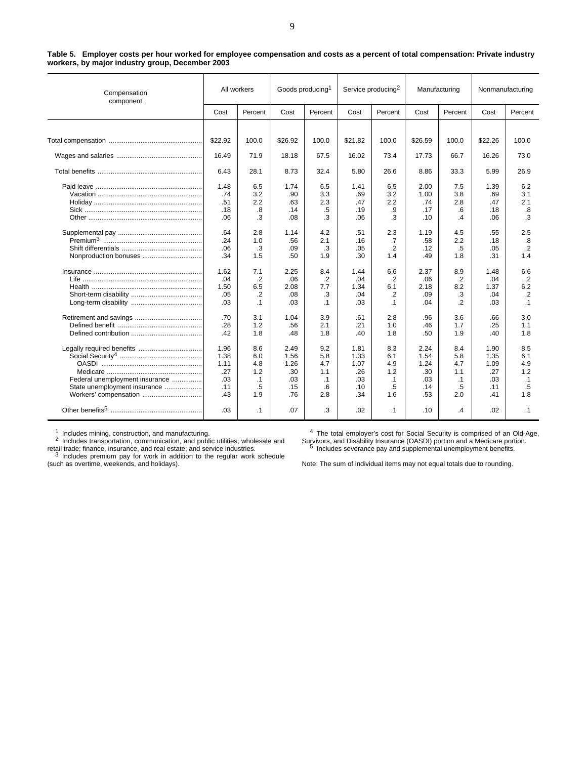| Compensation<br>component                                                               | All workers                                      |                                                    | Goods producing <sup>1</sup>                     |                                                    | Service producing <sup>2</sup>                   |                                                    | Manufacturing                                    |                                                    | Nonmanufacturing                                 |                                             |
|-----------------------------------------------------------------------------------------|--------------------------------------------------|----------------------------------------------------|--------------------------------------------------|----------------------------------------------------|--------------------------------------------------|----------------------------------------------------|--------------------------------------------------|----------------------------------------------------|--------------------------------------------------|---------------------------------------------|
|                                                                                         | Cost                                             | Percent                                            | Cost                                             | Percent                                            | Cost                                             | Percent                                            | Cost                                             | Percent                                            | Cost                                             | Percent                                     |
|                                                                                         |                                                  |                                                    |                                                  |                                                    |                                                  |                                                    |                                                  |                                                    |                                                  |                                             |
|                                                                                         | \$22.92                                          | 100.0                                              | \$26.92                                          | 100.0                                              | \$21.82                                          | 100.0                                              | \$26.59                                          | 100.0                                              | \$22.26                                          | 100.0                                       |
|                                                                                         | 16.49                                            | 71.9                                               | 18.18                                            | 67.5                                               | 16.02                                            | 73.4                                               | 17.73                                            | 66.7                                               | 16.26                                            | 73.0                                        |
|                                                                                         | 6.43                                             | 28.1                                               | 8.73                                             | 32.4                                               | 5.80                                             | 26.6                                               | 8.86                                             | 33.3                                               | 5.99                                             | 26.9                                        |
|                                                                                         | 1.48<br>.74<br>.51<br>.18<br>.06                 | 6.5<br>3.2<br>2.2<br>.8<br>.3                      | 1.74<br>.90<br>.63<br>.14<br>.08                 | 6.5<br>3.3<br>2.3<br>.5<br>.3                      | 1.41<br>.69<br>.47<br>.19<br>.06                 | 6.5<br>3.2<br>2.2<br>.9<br>.3                      | 2.00<br>1.00<br>.74<br>.17<br>.10                | 7.5<br>3.8<br>2.8<br>.6<br>.4                      | 1.39<br>.69<br>.47<br>.18<br>.06                 | 6.2<br>3.1<br>2.1<br>.8<br>.3               |
|                                                                                         | .64<br>.24<br>.06<br>.34                         | 2.8<br>1.0<br>.3<br>1.5                            | 1.14<br>.56<br>.09<br>.50                        | 4.2<br>2.1<br>.3<br>1.9                            | .51<br>.16<br>.05<br>.30                         | 2.3<br>.7<br>$\cdot$<br>1.4                        | 1.19<br>.58<br>.12<br>.49                        | 4.5<br>2.2<br>.5<br>1.8                            | .55<br>.18<br>.05<br>.31                         | 2.5<br>.8<br>$\cdot$<br>1.4                 |
|                                                                                         | 1.62<br>.04<br>1.50<br>.05<br>.03                | 7.1<br>$\cdot$<br>6.5<br>.2<br>$\cdot$ 1           | 2.25<br>.06<br>2.08<br>.08<br>.03                | 8.4<br>.2<br>7.7<br>.3<br>$\cdot$ 1                | 1.44<br>.04<br>1.34<br>.04<br>.03                | 6.6<br>$\cdot$<br>6.1<br>$\cdot$<br>$\cdot$ 1      | 2.37<br>.06<br>2.18<br>.09<br>.04                | 8.9<br>$\cdot$<br>8.2<br>.3<br>.2                  | 1.48<br>.04<br>1.37<br>.04<br>.03                | 6.6<br>.2<br>6.2<br>$\cdot$<br>$\cdot$ 1    |
|                                                                                         | .70<br>.28<br>.42                                | 3.1<br>1.2<br>1.8                                  | 1.04<br>.56<br>.48                               | 3.9<br>2.1<br>1.8                                  | .61<br>.21<br>.40                                | 2.8<br>1.0<br>1.8                                  | .96<br>.46<br>.50                                | 3.6<br>1.7<br>1.9                                  | .66<br>.25<br>.40                                | 3.0<br>1.1<br>1.8                           |
| Federal unemployment insurance<br>State unemployment insurance<br>Workers' compensation | 1.96<br>1.38<br>1.11<br>.27<br>.03<br>.11<br>.43 | 8.6<br>6.0<br>4.8<br>1.2<br>$\cdot$ 1<br>.5<br>1.9 | 2.49<br>1.56<br>1.26<br>.30<br>.03<br>.15<br>.76 | 9.2<br>5.8<br>4.7<br>1.1<br>$\cdot$ 1<br>.6<br>2.8 | 1.81<br>1.33<br>1.07<br>.26<br>.03<br>.10<br>.34 | 8.3<br>6.1<br>4.9<br>1.2<br>$\cdot$ 1<br>.5<br>1.6 | 2.24<br>1.54<br>1.24<br>.30<br>.03<br>.14<br>.53 | 8.4<br>5.8<br>4.7<br>1.1<br>$\cdot$ 1<br>.5<br>2.0 | 1.90<br>1.35<br>1.09<br>.27<br>.03<br>.11<br>.41 | 8.5<br>6.1<br>4.9<br>1.2<br>.1<br>.5<br>1.8 |
|                                                                                         | .03                                              | $\cdot$ 1                                          | .07                                              | .3                                                 | .02                                              | $\cdot$ 1                                          | .10                                              | $\cdot$                                            | .02                                              | $\cdot$ 1                                   |

**Table 5. Employer costs per hour worked for employee compensation and costs as a percent of total compensation: Private industry workers, by major industry group, December 2003**

1 Includes mining, construction, and manufacturing.<br><sup>2</sup> Includes transportation, communication, and public utilities; wholesale and

retail trade; finance, insurance, and real estate; and service industries.<br><sup>3</sup> Includes premium pay for work in addition to the regular work schedule

(such as overtime, weekends, and holidays).

<sup>4</sup> The total employer's cost for Social Security is comprised of an Old-Age, Survivors, and Disability Insurance (OASDI) portion and a Medicare portion. <sup>5</sup> Includes severance pay and supplemental unemployment benefits.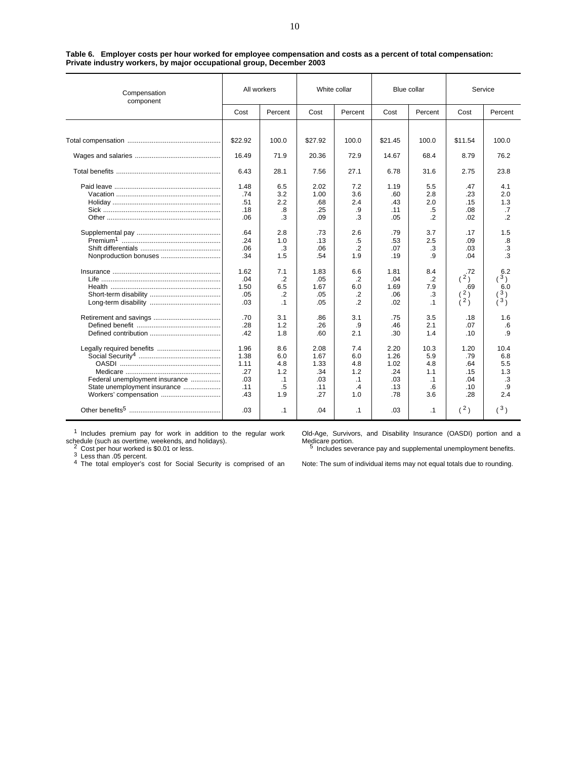| Compensation<br>component      | All workers |           | White collar |                |         | Blue collar | Service        |                |
|--------------------------------|-------------|-----------|--------------|----------------|---------|-------------|----------------|----------------|
|                                | Cost        | Percent   | Cost         | Percent        | Cost    | Percent     | Cost           | Percent        |
|                                |             |           |              |                |         |             |                |                |
|                                | \$22.92     | 100.0     | \$27.92      | 100.0          | \$21.45 | 100.0       | \$11.54        | 100.0          |
|                                | 16.49       | 71.9      | 20.36        | 72.9           | 14.67   | 68.4        | 8.79           | 76.2           |
|                                | 6.43        | 28.1      | 7.56         | 27.1           | 6.78    | 31.6        | 2.75           | 23.8           |
|                                | 1.48        | 6.5       | 2.02         | 7.2            | 1.19    | 5.5         | .47            | 4.1            |
|                                | .74         | 3.2       | 1.00         | 3.6            | .60     | 2.8         | .23            | 2.0            |
|                                | .51         | 2.2       | .68          | 2.4            | .43     | 2.0         | .15            | 1.3            |
|                                | .18         | .8        | .25          | .9             | .11     | $.5\,$      | .08            | .7             |
|                                | .06         | .3        | .09          | .3             | .05     | $\cdot$     | .02            | $\cdot$        |
|                                | .64         | 2.8       | .73          | 2.6            | .79     | 3.7         | .17            | 1.5            |
|                                | .24         | 1.0       | .13          | .5             | .53     | 2.5         | .09            | .8             |
|                                | .06         | .3        | .06          | $\cdot$ .2     | .07     | .3          | .03            | .3             |
|                                | .34         | 1.5       | .54          | 1.9            | .19     | .9          | .04            | .3             |
|                                | 1.62        | 7.1       | 1.83         | 6.6            | 1.81    | 8.4         | .72            | 6.2            |
|                                | .04         | $\cdot$   | .05          | .2             | .04     | .2          | (2)            | (3)            |
|                                | 1.50        | 6.5       | 1.67         | 6.0            | 1.69    | 7.9         | .69            | 6.0            |
|                                | .05         | $\cdot$   | .05          | $\cdot$ .2     | .06     | .3          | $\binom{2}{2}$ | $\binom{3}{3}$ |
|                                | .03         | $\cdot$ 1 | .05          | $\overline{2}$ | .02     | $\cdot$ 1   |                |                |
|                                | .70         | 3.1       | .86          | 3.1            | .75     | 3.5         | .18            | 1.6            |
|                                | .28         | 1.2       | .26          | .9             | .46     | 2.1         | .07            | .6             |
|                                | .42         | 1.8       | .60          | 2.1            | .30     | 1.4         | .10            | .9             |
|                                | 1.96        | 8.6       | 2.08         | 7.4            | 2.20    | 10.3        | 1.20           | 10.4           |
|                                | 1.38        | 6.0       | 1.67         | 6.0            | 1.26    | 5.9         | .79            | 6.8            |
|                                | 1.11        | 4.8       | 1.33         | 4.8            | 1.02    | 4.8         | .64            | 5.5            |
|                                | .27         | 1.2       | .34          | 1.2            | .24     | 1.1         | .15            | 1.3            |
| Federal unemployment insurance | .03         | $\cdot$ 1 | .03          | $\cdot$ 1      | .03     | $\cdot$ 1   | .04            | .3             |
| State unemployment insurance   | .11         | .5        | .11          | $\cdot$        | .13     | .6          | .10            | .9             |
| Workers' compensation          | .43         | 1.9       | .27          | 1.0            | .78     | 3.6         | .28            | 2.4            |
|                                | .03         | $\cdot$ 1 | .04          | $\cdot$ 1      | .03     | $\cdot$ 1   | (2)            | (3)            |

**Table 6. Employer costs per hour worked for employee compensation and costs as a percent of total compensation: Private industry workers, by major occupational group, December 2003**

<sup>1</sup> Includes premium pay for work in addition to the regular work

schedule (such as overtime, weekends, and holidays).<br><sup>2</sup> Cost per hour worked is \$0.01 or less.<br><sup>3</sup> Less than .05 percent.<br><sup>4</sup> The total employer's cost for Social Security is comprised of an

Old-Age, Survivors, and Disability Insurance (OASDI) portion and a Undersyle, University<br>Medicare portion.<br>5 Includes severance pay and supplemental unemployment benefits.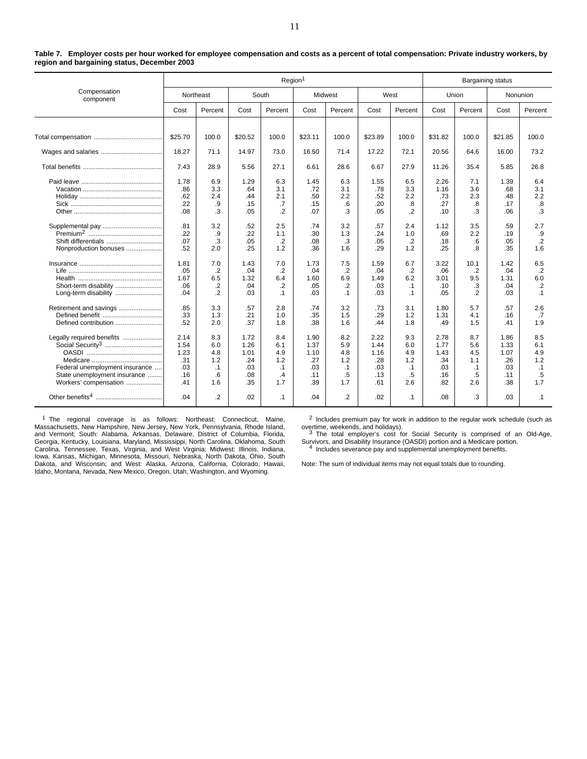|                                                                                                                                                      | Region <sup>1</sup><br>Bargaining status         |                                                    |                                                  |                                                    |                                                  |                                                    |                                                  |                                                        |                                                  |                                                    |                                                  |                                                      |
|------------------------------------------------------------------------------------------------------------------------------------------------------|--------------------------------------------------|----------------------------------------------------|--------------------------------------------------|----------------------------------------------------|--------------------------------------------------|----------------------------------------------------|--------------------------------------------------|--------------------------------------------------------|--------------------------------------------------|----------------------------------------------------|--------------------------------------------------|------------------------------------------------------|
| Compensation<br>component                                                                                                                            |                                                  | Northeast                                          |                                                  | South                                              | Midwest                                          |                                                    |                                                  | West                                                   | Union                                            |                                                    |                                                  | Nonunion                                             |
|                                                                                                                                                      | Cost                                             | Percent                                            | Cost                                             | Percent                                            | Cost                                             | Percent                                            | Cost                                             | Percent                                                | Cost                                             | Percent                                            | Cost                                             | Percent                                              |
|                                                                                                                                                      |                                                  |                                                    |                                                  |                                                    |                                                  |                                                    |                                                  |                                                        |                                                  |                                                    |                                                  |                                                      |
|                                                                                                                                                      | \$25.70                                          | 100.0                                              | \$20.52                                          | 100.0                                              | \$23.11                                          | 100.0                                              | \$23.89                                          | 100.0                                                  | \$31.82                                          | 100.0                                              | \$21.85                                          | 100.0                                                |
|                                                                                                                                                      | 18.27                                            | 71.1                                               | 14.97                                            | 73.0                                               | 16.50                                            | 71.4                                               | 17.22                                            | 72.1                                                   | 20.56                                            | 64.6                                               | 16.00                                            | 73.2                                                 |
|                                                                                                                                                      | 7.43                                             | 28.9                                               | 5.56                                             | 27.1                                               | 6.61                                             | 28.6                                               | 6.67                                             | 27.9                                                   | 11.26                                            | 35.4                                               | 5.85                                             | 26.8                                                 |
|                                                                                                                                                      | 1.78<br>.86<br>.62<br>.22<br>.08                 | 6.9<br>3.3<br>2.4<br>.9<br>.3                      | 1.29<br>.64<br>.44<br>.15<br>.05                 | 6.3<br>3.1<br>2.1<br>.7<br>$\cdot$                 | 1.45<br>.72<br>.50<br>.15<br>.07                 | 6.3<br>3.1<br>2.2<br>.6<br>.3                      | 1.55<br>.78<br>.52<br>.20<br>.05                 | 6.5<br>3.3<br>2.2<br>.8<br>$\overline{2}$              | 2.26<br>1.16<br>.73<br>.27<br>.10                | 7.1<br>3.6<br>2.3<br>.8<br>.3                      | 1.39<br>.68<br>.48<br>.17<br>.06                 | 6.4<br>3.1<br>2.2<br>.8<br>.3                        |
| Supplemental pay<br>Shift differentials<br>Nonproduction bonuses                                                                                     | .81<br>.22<br>.07<br>.52                         | 3.2<br>.9<br>.3<br>2.0                             | .52<br>.22<br>.05<br>.25                         | 2.5<br>1.1<br>$\cdot$<br>1.2                       | .74<br>.30<br>.08<br>.36                         | 3.2<br>1.3<br>.3<br>1.6                            | .57<br>.24<br>.05<br>.29                         | 2.4<br>1.0<br>$\cdot$<br>1.2                           | 1.12<br>.69<br>.18<br>.25                        | 3.5<br>2.2<br>.6<br>.8                             | .59<br>.19<br>.05<br>.35                         | 2.7<br>.9<br>$\cdot$ .2<br>1.6                       |
| Short-term disability<br>Long-term disability                                                                                                        | 1.81<br>.05<br>1.67<br>.06<br>.04                | 7.0<br>.2<br>6.5<br>.2<br>$\cdot$                  | 1.43<br>.04<br>1.32<br>.04<br>.03                | 7.0<br>$\cdot$<br>6.4<br>$\cdot$<br>$\cdot$ 1      | 1.73<br>.04<br>1.60<br>.05<br>.03                | 7.5<br>$\cdot$<br>6.9<br>$\cdot$<br>$\cdot$ 1      | 1.59<br>.04<br>1.49<br>.03<br>.03                | 6.7<br>$\overline{2}$<br>6.2<br>$\cdot$ 1<br>$\cdot$ 1 | 3.22<br>.06<br>3.01<br>.10<br>.05                | 10.1<br>.2<br>9.5<br>.3<br>.2                      | 1.42<br>.04<br>1.31<br>.04<br>.03                | 6.5<br>$\overline{2}$<br>6.0<br>$\cdot$<br>$\cdot$ 1 |
| Retirement and savings<br>Defined benefit                                                                                                            | .85<br>.33<br>.52                                | 3.3<br>1.3<br>2.0                                  | .57<br>.21<br>.37                                | 2.8<br>1.0<br>1.8                                  | .74<br>.35<br>.38                                | 3.2<br>1.5<br>1.6                                  | .73<br>.29<br>.44                                | 3.1<br>1.2<br>1.8                                      | 1.80<br>1.31<br>.49                              | 5.7<br>4.1<br>1.5                                  | .57<br>.16<br>.41                                | 2.6<br>.7<br>1.9                                     |
| Legally required benefits<br>Social Security <sup>3</sup><br>Federal unemployment insurance<br>State unemployment insurance<br>Workers' compensation | 2.14<br>1.54<br>1.23<br>.31<br>.03<br>.16<br>.41 | 8.3<br>6.0<br>4.8<br>1.2<br>$\cdot$ 1<br>.6<br>1.6 | 1.72<br>1.26<br>1.01<br>.24<br>.03<br>.08<br>.35 | 8.4<br>6.1<br>4.9<br>1.2<br>$\cdot$ 1<br>.4<br>1.7 | 1.90<br>1.37<br>1.10<br>.27<br>.03<br>.11<br>.39 | 8.2<br>5.9<br>4.8<br>1.2<br>$\cdot$ 1<br>.5<br>1.7 | 2.22<br>1.44<br>1.16<br>.28<br>.03<br>.13<br>.61 | 9.3<br>6.0<br>4.9<br>1.2<br>$\cdot$ 1<br>.5<br>2.6     | 2.78<br>1.77<br>1.43<br>.34<br>.03<br>.16<br>.82 | 8.7<br>5.6<br>4.5<br>1.1<br>$\cdot$ 1<br>.5<br>2.6 | 1.86<br>1.33<br>1.07<br>.26<br>.03<br>.11<br>.38 | 8.5<br>6.1<br>4.9<br>1.2<br>$\cdot$ 1<br>.5<br>1.7   |
|                                                                                                                                                      | .04                                              | $\cdot$                                            | .02                                              | $\cdot$ 1                                          | .04                                              | $\cdot$                                            | .02                                              | $\cdot$ 1                                              | .08                                              | .3                                                 | .03                                              | $\cdot$ 1                                            |

**Table 7. Employer costs per hour worked for employee compensation and costs as a percent of total compensation: Private industry workers, by region and bargaining status, December 2003**

<sup>1</sup> The regional coverage is as follows: Northeast: Connecticut, Maine, Massachusetts, New Hampshire, New Jersey, New York, Pennsylvania, Rhode Island, and Vermont; South: Alabama, Arkansas, Delaware, District of Columbia, Florida, Georgia, Kentucky, Louisiana, Maryland, Mississippi, North Carolina, Oklahoma, South Carolina, Tennessee, Texas, Virginia, and West Virginia; Midwest: Illinois, Indiana,<br>Iowa, Kansas, Michigan, Minnesota, Missouri, Nebraska, North Dakota, Ohio, South<br>Dakota, and Wisconsin; and West: Alaska, Arizona, Califo

<sup>2</sup> Includes premium pay for work in addition to the regular work schedule (such as

overtime, weekends, and holidays). 3<br>3 The total employer's cost for Social Security is comprised of an Old-Age, Survivors, and Disability Insurance (OASDI) portion and a Medicare portion. <sup>4</sup> Includes severance pay and supplemental unemployment benefits.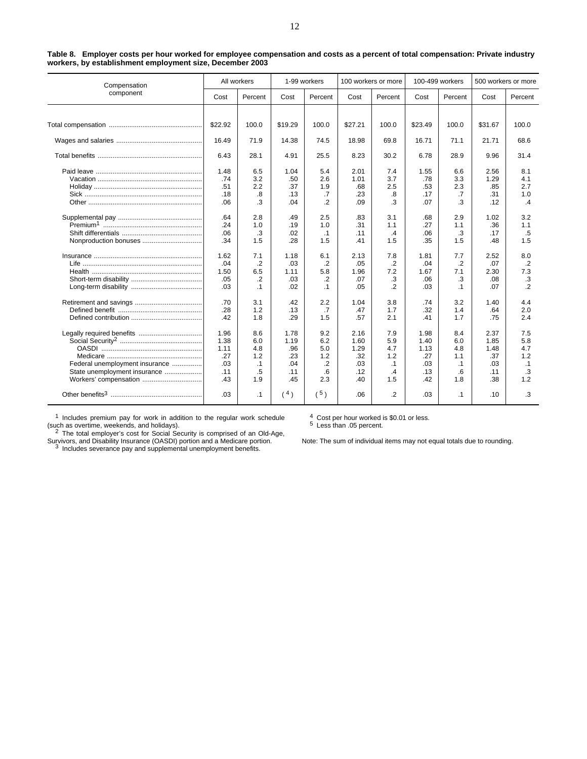| Compensation                   | All workers |           |         | 1-99 workers   |         | 100 workers or more |         | 100-499 workers | 500 workers or more |                 |
|--------------------------------|-------------|-----------|---------|----------------|---------|---------------------|---------|-----------------|---------------------|-----------------|
| component                      | Cost        | Percent   | Cost    | Percent        | Cost    | Percent             | Cost    | Percent         | Cost                | Percent         |
|                                |             |           |         |                |         |                     |         |                 |                     |                 |
|                                | \$22.92     | 100.0     | \$19.29 | 100.0          | \$27.21 | 100.0               | \$23.49 | 100.0           | \$31.67             | 100.0           |
|                                | 16.49       | 71.9      | 14.38   | 74.5           | 18.98   | 69.8                | 16.71   | 71.1            | 21.71               | 68.6            |
|                                | 6.43        | 28.1      | 4.91    | 25.5           | 8.23    | 30.2                | 6.78    | 28.9            | 9.96                | 31.4            |
|                                | 1.48        | 6.5       | 1.04    | 5.4            | 2.01    | 7.4                 | 1.55    | 6.6             | 2.56                | 8.1             |
|                                | .74         | 3.2       | .50     | 2.6            | 1.01    | 3.7                 | .78     | 3.3             | 1.29                | 4.1             |
|                                | .51         | 2.2       | .37     | 1.9            | .68     | 2.5                 | .53     | 2.3             | .85                 | 2.7             |
|                                | .18         | .8        | .13     | .7             | .23     | .8                  | .17     | .7              | .31                 | 1.0             |
|                                | .06         | .3        | .04     | $\overline{2}$ | .09     | .3                  | .07     | .3              | .12                 | $\cdot$ 4       |
|                                | .64         | 2.8       | .49     | 2.5            | .83     | 3.1                 | .68     | 2.9             | 1.02                | 3.2             |
|                                | .24         | 1.0       | .19     | 1.0            | .31     | 1.1                 | .27     | 1.1             | .36                 | 1.1             |
|                                | .06         | .3        | .02     | $\cdot$ 1      | .11     | $\cdot$ 4           | .06     | .3              | .17                 | .5              |
|                                | .34         | 1.5       | .28     | 1.5            | .41     | 1.5                 | .35     | 1.5             | .48                 | 1.5             |
|                                | 1.62        | 7.1       | 1.18    | 6.1            | 2.13    | 7.8                 | 1.81    | 7.7             | 2.52                | 8.0             |
|                                | .04         | $\cdot$   | .03     | $\cdot$        | .05     | $\cdot$ .2          | .04     | $\cdot$         | .07                 | $\cdot$ .2      |
|                                | 1.50        | 6.5       | 1.11    | 5.8            | 1.96    | 7.2                 | 1.67    | 7.1             | 2.30                | 7.3             |
|                                | .05         | .2        | .03     | .2             | .07     | .3                  | .06     | .3              | .08                 | $.3\phantom{0}$ |
|                                | .03         | $\cdot$ 1 | .02     | $\cdot$ 1      | .05     | $\cdot$ .2          | .03     | $\cdot$ 1       | .07                 | $\overline{2}$  |
|                                | .70         | 3.1       | .42     | 2.2            | 1.04    | 3.8                 | .74     | 3.2             | 1.40                | 4.4             |
|                                | .28         | 1.2       | .13     | .7             | .47     | 1.7                 | .32     | 1.4             | .64                 | 2.0             |
|                                | .42         | 1.8       | .29     | 1.5            | .57     | 2.1                 | .41     | 1.7             | .75                 | 2.4             |
| Legally required benefits      | 1.96        | 8.6       | 1.78    | 9.2            | 2.16    | 7.9                 | 1.98    | 8.4             | 2.37                | 7.5             |
|                                | 1.38        | 6.0       | 1.19    | 6.2            | 1.60    | 5.9                 | 1.40    | 6.0             | 1.85                | 5.8             |
|                                | 1.11        | 4.8       | .96     | 5.0            | 1.29    | 4.7                 | 1.13    | 4.8             | 1.48                | 4.7             |
|                                | .27         | 1.2       | .23     | 1.2            | .32     | 1.2                 | .27     | 1.1             | .37                 | 1.2             |
| Federal unemployment insurance | .03         | $\cdot$ 1 | .04     | .2             | .03     | $\cdot$ 1           | .03     | $\cdot$ 1       | .03                 | $\cdot$ 1       |
| State unemployment insurance   | .11         | .5        | .11     | .6             | .12     | $\mathcal{A}$       | .13     | .6              | .11                 | .3              |
|                                | .43         | 1.9       | .45     | 2.3            | .40     | 1.5                 | .42     | 1.8             | .38                 | 1.2             |
|                                | .03         | $\cdot$ 1 | (4)     | (5)            | .06     | $\cdot$             | .03     | $\cdot$ 1       | .10                 | .3              |

**Table 8. Employer costs per hour worked for employee compensation and costs as a percent of total compensation: Private industry workers, by establishment employment size, December 2003**

<sup>1</sup> Includes premium pay for work in addition to the regular work schedule

<sup>4</sup> Cost per hour worked is \$0.01 or less. <sup>5</sup> Less than .05 percent.

(such as overtime, weekends, and holidays).<br><sup>2</sup> The total employer's cost for Social Security is comprised of an Old-Age, Survivors, and Disability Insurance (OASDI) portion and a Medicare portion.<br><sup>3</sup> Includes severance pay and supplemental unemployment benefits.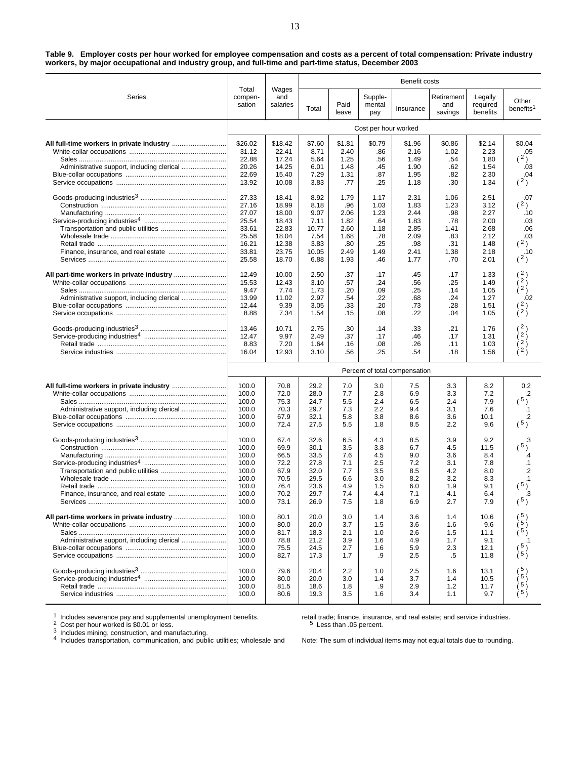| Table 9. Employer costs per hour worked for employee compensation and costs as a percent of total compensation: Private industry |  |
|----------------------------------------------------------------------------------------------------------------------------------|--|
| workers, by major occupational and industry group, and full-time and part-time status, December 2003                             |  |

|                                            |                                                    |                                              |                                              |                                        |                                        | Benefit costs<br>Retirement<br>Legally<br>and<br>required<br>Insurance<br>savings<br>benefits<br>\$2.14<br>\$1.96<br>\$0.86<br>2.16<br>1.02<br>2.23<br>1.49<br>.54<br>1.80<br>1.90<br>.62<br>1.54<br>2.30<br>1.95<br>.82<br>1.18<br>1.34<br>.30<br>2.31<br>1.06<br>2.51<br>1.23<br>3.12<br>1.83<br>2.44<br>.98<br>2.27<br>1.83<br>.78<br>2.00<br>2.85<br>1.41<br>2.68<br>2.09<br>.83<br>2.12<br>.98<br>.31<br>1.48<br>2.41<br>1.38<br>2.18<br>1.77<br>.70<br>2.01<br>.17<br>1.33<br>.45<br>.25<br>1.49<br>.56<br>.25<br>1.05<br>.14<br>.24<br>.68<br>1.27<br>.28<br>.73<br>1.51<br>$\lambda^2$<br>.22<br>.04<br>1.05<br>( 2 )<br>.33<br>.21<br>1.76<br>1.31<br>.46<br>.17<br>.26<br>.11<br>1.03<br>.54<br>.18<br>1.56<br>Percent of total compensation |                                        |                                            |                                                        |  |  |
|--------------------------------------------|----------------------------------------------------|----------------------------------------------|----------------------------------------------|----------------------------------------|----------------------------------------|--------------------------------------------------------------------------------------------------------------------------------------------------------------------------------------------------------------------------------------------------------------------------------------------------------------------------------------------------------------------------------------------------------------------------------------------------------------------------------------------------------------------------------------------------------------------------------------------------------------------------------------------------------------------------------------------------------------------------------------------------------|----------------------------------------|--------------------------------------------|--------------------------------------------------------|--|--|
| Series                                     | Total<br>compen-<br>sation                         | Wages<br>and<br>salaries                     | Total                                        | Paid<br>leave                          | Supple-<br>mental<br>pay               |                                                                                                                                                                                                                                                                                                                                                                                                                                                                                                                                                                                                                                                                                                                                                        |                                        |                                            | Other<br>benefits <sup>1</sup>                         |  |  |
|                                            |                                                    |                                              | Cost per hour worked                         |                                        |                                        |                                                                                                                                                                                                                                                                                                                                                                                                                                                                                                                                                                                                                                                                                                                                                        |                                        |                                            |                                                        |  |  |
|                                            | \$26.02<br>31.12<br>22.88                          | \$18.42<br>22.41<br>17.24                    | \$7.60<br>8.71<br>5.64                       | \$1.81<br>2.40<br>1.25                 | \$0.79<br>.86<br>.56                   |                                                                                                                                                                                                                                                                                                                                                                                                                                                                                                                                                                                                                                                                                                                                                        |                                        |                                            | \$0.04<br>.05<br>(2)                                   |  |  |
| Administrative support, including clerical | 20.26<br>22.69<br>13.92                            | 14.25<br>15.40<br>10.08                      | 6.01<br>7.29<br>3.83                         | 1.48<br>1.31<br>.77                    | .45<br>.87<br>.25                      |                                                                                                                                                                                                                                                                                                                                                                                                                                                                                                                                                                                                                                                                                                                                                        |                                        |                                            | .03<br>.04<br>(2)                                      |  |  |
|                                            | 27.33<br>27.16<br>27.07                            | 18.41<br>18.99<br>18.00                      | 8.92<br>8.18<br>9.07                         | 1.79<br>.96<br>2.06                    | 1.17<br>1.03<br>1.23                   |                                                                                                                                                                                                                                                                                                                                                                                                                                                                                                                                                                                                                                                                                                                                                        |                                        |                                            | .07<br>(2)<br>.10                                      |  |  |
|                                            | 25.54<br>33.61<br>25.58<br>16.21                   | 18.43<br>22.83<br>18.04<br>12.38             | 7.11<br>10.77<br>7.54<br>3.83                | 1.82<br>2.60<br>1.68<br>.80            | .64<br>1.18<br>.78<br>.25              |                                                                                                                                                                                                                                                                                                                                                                                                                                                                                                                                                                                                                                                                                                                                                        |                                        |                                            | .03<br>.06<br>.03<br>(2)                               |  |  |
|                                            | 33.81<br>25.58                                     | 23.75<br>18.70                               | 10.05<br>6.88                                | 2.49<br>1.93                           | 1.49<br>.46                            |                                                                                                                                                                                                                                                                                                                                                                                                                                                                                                                                                                                                                                                                                                                                                        |                                        |                                            | .10<br>(2)                                             |  |  |
| Administrative support, including clerical | 12.49<br>15.53<br>9.47<br>13.99<br>12.44           | 10.00<br>12.43<br>7.74<br>11.02<br>9.39      | 2.50<br>3.10<br>1.73<br>2.97<br>3.05         | .37<br>.57<br>.20<br>.54<br>.33        | .17<br>.24<br>.09<br>.22<br>.20        |                                                                                                                                                                                                                                                                                                                                                                                                                                                                                                                                                                                                                                                                                                                                                        |                                        |                                            | (2)<br>$\left(2\right)$<br>$\lambda^2$<br>.02<br>(2)   |  |  |
|                                            | 8.88<br>13.46                                      | 7.34                                         | 1.54<br>2.75                                 | .15                                    | .08                                    |                                                                                                                                                                                                                                                                                                                                                                                                                                                                                                                                                                                                                                                                                                                                                        |                                        |                                            |                                                        |  |  |
|                                            | 12.47<br>8.83<br>16.04                             | 10.71<br>9.97<br>7.20<br>12.93               | 2.49<br>1.64<br>3.10                         | .30<br>.37<br>.16<br>.56               | .14<br>.17<br>.08<br>.25               |                                                                                                                                                                                                                                                                                                                                                                                                                                                                                                                                                                                                                                                                                                                                                        |                                        |                                            | 2 <sub>1</sub><br>2 <sub>1</sub><br>ì <sup>2</sup> )   |  |  |
|                                            |                                                    |                                              |                                              |                                        |                                        |                                                                                                                                                                                                                                                                                                                                                                                                                                                                                                                                                                                                                                                                                                                                                        |                                        |                                            |                                                        |  |  |
| Administrative support, including clerical | 100.0<br>100.0<br>100.0<br>100.0<br>100.0<br>100.0 | 70.8<br>72.0<br>75.3<br>70.3<br>67.9<br>72.4 | 29.2<br>28.0<br>24.7<br>29.7<br>32.1<br>27.5 | 7.0<br>7.7<br>5.5<br>7.3<br>5.8<br>5.5 | 3.0<br>2.8<br>2.4<br>2.2<br>3.8<br>1.8 | 7.5<br>6.9<br>6.5<br>9.4<br>8.6<br>8.5                                                                                                                                                                                                                                                                                                                                                                                                                                                                                                                                                                                                                                                                                                                 | 3.3<br>3.3<br>2.4<br>3.1<br>3.6<br>2.2 | 8.2<br>7.2<br>7.9<br>7.6<br>10.1<br>9.6    | 0.2<br>.2<br>(5)<br>$\cdot$ 1<br>.2<br>(5)             |  |  |
|                                            | 100.0<br>100.0<br>100.0<br>100.0<br>100.0<br>100.0 | 67.4<br>69.9<br>66.5<br>72.2<br>67.9<br>70.5 | 32.6<br>30.1<br>33.5<br>27.8<br>32.0<br>29.5 | 6.5<br>3.5<br>7.6<br>7.1<br>7.7<br>6.6 | 4.3<br>3.8<br>4.5<br>2.5<br>3.5<br>3.0 | 8.5<br>6.7<br>9.0<br>7.2<br>8.5<br>8.2                                                                                                                                                                                                                                                                                                                                                                                                                                                                                                                                                                                                                                                                                                                 | 3.9<br>4.5<br>3.6<br>3.1<br>4.2<br>3.2 | 9.2<br>11.5<br>8.4<br>7.8<br>8.0<br>8.3    | .3<br>(5)<br>.4<br>$\cdot$ 1<br>$\cdot$<br>$\cdot$ 1   |  |  |
|                                            | 100.0<br>100.0<br>100.0                            | 76.4<br>70.2<br>73.1                         | 23.6<br>29.7<br>26.9                         | 4.9<br>7.4<br>7.5                      | 1.5<br>4.4<br>1.8                      | 6.0<br>7.1<br>6.9                                                                                                                                                                                                                                                                                                                                                                                                                                                                                                                                                                                                                                                                                                                                      | 1.9<br>4.1<br>2.7                      | 9.1<br>6.4<br>7.9                          | 5 <sub>0</sub><br>.3<br>$^{\circ}$ 5 )<br><sup>1</sup> |  |  |
|                                            | 100.0<br>100.0<br>100.0<br>100.0<br>100.0<br>100.0 | 80.1<br>80.0<br>81.7<br>78.8<br>75.5<br>82.7 | 20.0<br>20.0<br>18.3<br>21.2<br>24.5<br>17.3 | 3.0<br>3.7<br>2.1<br>3.9<br>2.7<br>1.7 | 1.4<br>1.5<br>1.0<br>1.6<br>1.6<br>.9  | 3.6<br>3.6<br>2.6<br>4.9<br>5.9<br>2.5                                                                                                                                                                                                                                                                                                                                                                                                                                                                                                                                                                                                                                                                                                                 | 1.4<br>1.6<br>1.5<br>1.7<br>2.3<br>.5  | 10.6<br>9.6<br>11.1<br>9.1<br>12.1<br>11.8 | (5)<br>(5)<br>5j<br>$(\frac{5}{5})$                    |  |  |
|                                            | 100.0<br>100.0<br>100.0<br>100.0                   | 79.6<br>80.0<br>81.5<br>80.6                 | 20.4<br>20.0<br>18.6<br>19.3                 | 2.2<br>3.0<br>1.8<br>3.5               | 1.0<br>1.4<br>.9<br>1.6                | 2.5<br>3.7<br>2.9<br>3.4                                                                                                                                                                                                                                                                                                                                                                                                                                                                                                                                                                                                                                                                                                                               | 1.6<br>1.4<br>1.2<br>1.1               | 13.1<br>10.5<br>11.7<br>9.7                | 5 <sub>1</sub><br>5j<br>5 <sup>′</sup>                 |  |  |

1 Includes severance pay and supplemental unemployment benefits.<br>  $2$  Cost per hour worked is \$0.01 or less.<br>  $3$  Includes mining, construction, and manufacturing.<br>  $4$  Includes transportation, communication, and public u

retail trade; finance, insurance, and real estate; and service industries. <sup>5</sup> Less than .05 percent.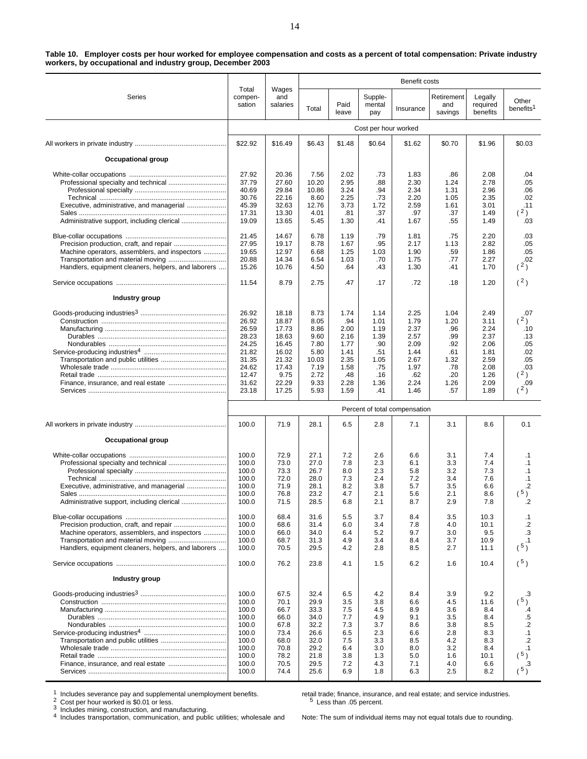| Table 10. Employer costs per hour worked for employee compensation and costs as a percent of total compensation: Private industry |  |
|-----------------------------------------------------------------------------------------------------------------------------------|--|
| workers, by occupational and industry group, December 2003                                                                        |  |

|                                                     |                            |                          | Benefit costs |               |                          |                               |                              |                                                                                                                                                                                                                                                                                                                                                                                                                                                                                                                   |                                |  |  |  |  |  |  |
|-----------------------------------------------------|----------------------------|--------------------------|---------------|---------------|--------------------------|-------------------------------|------------------------------|-------------------------------------------------------------------------------------------------------------------------------------------------------------------------------------------------------------------------------------------------------------------------------------------------------------------------------------------------------------------------------------------------------------------------------------------------------------------------------------------------------------------|--------------------------------|--|--|--|--|--|--|
| Series                                              | Total<br>compen-<br>sation | Wages<br>and<br>salaries | Total         | Paid<br>leave | Supple-<br>mental<br>pay | Insurance                     | Retirement<br>and<br>savings | Legally<br>required<br>benefits                                                                                                                                                                                                                                                                                                                                                                                                                                                                                   | Other<br>benefits <sup>1</sup> |  |  |  |  |  |  |
|                                                     |                            |                          |               |               | Cost per hour worked     |                               |                              | \$0.70<br>\$1.96<br>.86<br>2.08<br>2.78<br>1.24<br>1.31<br>2.96<br>1.05<br>2.35<br>1.61<br>3.01<br>.37<br>1.49<br>.55<br>1.49<br>.75<br>2.20<br>2.82<br>1.13<br>.59<br>1.86<br>.77<br>2.27<br>.41<br>1.70<br>.18<br>1.20<br>1.04<br>2.49<br>1.20<br>3.11<br>.96<br>2.24<br>.99<br>2.37<br>2.06<br>.92<br>.61<br>1.81<br>1.32<br>2.59<br>.78<br>2.08<br>.20<br>1.26<br>1.26<br>2.09<br>.57<br>1.89<br>3.1<br>8.6<br>7.4<br>3.1<br>3.3<br>7.4<br>3.2<br>7.3<br>3.4<br>7.6<br>3.5<br>6.6<br>2.1<br>8.6<br>2.9<br>7.8 |                                |  |  |  |  |  |  |
|                                                     | \$22.92                    | \$16.49                  | \$6.43        | \$1.48        | \$0.64                   | \$1.62                        |                              |                                                                                                                                                                                                                                                                                                                                                                                                                                                                                                                   | \$0.03                         |  |  |  |  |  |  |
| Occupational group                                  |                            |                          |               |               |                          |                               |                              |                                                                                                                                                                                                                                                                                                                                                                                                                                                                                                                   |                                |  |  |  |  |  |  |
|                                                     | 27.92                      | 20.36                    | 7.56          | 2.02          | .73                      | 1.83                          |                              |                                                                                                                                                                                                                                                                                                                                                                                                                                                                                                                   | .04                            |  |  |  |  |  |  |
| Professional specialty and technical                | 37.79                      | 27.60                    | 10.20         | 2.95          | .88                      | 2.30                          |                              |                                                                                                                                                                                                                                                                                                                                                                                                                                                                                                                   | .05                            |  |  |  |  |  |  |
|                                                     | 40.69                      | 29.84                    | 10.86         | 3.24          | .94                      | 2.34                          |                              |                                                                                                                                                                                                                                                                                                                                                                                                                                                                                                                   | .06                            |  |  |  |  |  |  |
| Executive, administrative, and managerial           | 30.76<br>45.39             | 22.16<br>32.63           | 8.60<br>12.76 | 2.25<br>3.73  | .73<br>1.72              | 2.20<br>2.59                  |                              |                                                                                                                                                                                                                                                                                                                                                                                                                                                                                                                   | .02<br>.11                     |  |  |  |  |  |  |
|                                                     | 17.31                      | 13.30                    | 4.01          | .81           | .37                      | .97                           |                              |                                                                                                                                                                                                                                                                                                                                                                                                                                                                                                                   | 2)                             |  |  |  |  |  |  |
|                                                     | 19.09                      | 13.65                    | 5.45          | 1.30          | .41                      | 1.67                          |                              |                                                                                                                                                                                                                                                                                                                                                                                                                                                                                                                   | .03                            |  |  |  |  |  |  |
|                                                     | 21.45                      | 14.67                    | 6.78          | 1.19          | .79                      | 1.81                          |                              |                                                                                                                                                                                                                                                                                                                                                                                                                                                                                                                   | .03                            |  |  |  |  |  |  |
| Machine operators, assemblers, and inspectors       | 27.95<br>19.65             | 19.17<br>12.97           | 8.78<br>6.68  | 1.67<br>1.25  | .95<br>1.03              | 2.17<br>1.90                  |                              |                                                                                                                                                                                                                                                                                                                                                                                                                                                                                                                   | .05<br>.05                     |  |  |  |  |  |  |
|                                                     | 20.88                      | 14.34                    | 6.54          | 1.03          | .70                      | 1.75                          |                              |                                                                                                                                                                                                                                                                                                                                                                                                                                                                                                                   | .02                            |  |  |  |  |  |  |
| Handlers, equipment cleaners, helpers, and laborers | 15.26                      | 10.76                    | 4.50          | .64           | .43                      | 1.30                          |                              |                                                                                                                                                                                                                                                                                                                                                                                                                                                                                                                   | (2)                            |  |  |  |  |  |  |
|                                                     | 11.54                      | 8.79                     | 2.75          | .47           | .17                      | .72                           |                              |                                                                                                                                                                                                                                                                                                                                                                                                                                                                                                                   | (2)                            |  |  |  |  |  |  |
| Industry group                                      |                            |                          |               |               |                          |                               |                              |                                                                                                                                                                                                                                                                                                                                                                                                                                                                                                                   |                                |  |  |  |  |  |  |
|                                                     | 26.92                      | 18.18                    | 8.73          | 1.74          | 1.14                     | 2.25                          |                              |                                                                                                                                                                                                                                                                                                                                                                                                                                                                                                                   | .07                            |  |  |  |  |  |  |
|                                                     | 26.92                      | 18.87                    | 8.05          | .94           | 1.01                     | 1.79                          |                              |                                                                                                                                                                                                                                                                                                                                                                                                                                                                                                                   | (2)                            |  |  |  |  |  |  |
|                                                     | 26.59                      | 17.73                    | 8.86          | 2.00          | 1.19                     | 2.37                          |                              |                                                                                                                                                                                                                                                                                                                                                                                                                                                                                                                   | .10                            |  |  |  |  |  |  |
|                                                     | 28.23<br>24.25             | 18.63<br>16.45           | 9.60<br>7.80  | 2.16<br>1.77  | 1.39<br>.90              | 2.57<br>2.09                  |                              |                                                                                                                                                                                                                                                                                                                                                                                                                                                                                                                   | .13<br>.05                     |  |  |  |  |  |  |
|                                                     | 21.82                      | 16.02                    | 5.80          | 1.41          | .51                      | 1.44                          |                              |                                                                                                                                                                                                                                                                                                                                                                                                                                                                                                                   | .02                            |  |  |  |  |  |  |
|                                                     | 31.35                      | 21.32                    | 10.03         | 2.35          | 1.05                     | 2.67                          |                              |                                                                                                                                                                                                                                                                                                                                                                                                                                                                                                                   | .05                            |  |  |  |  |  |  |
|                                                     | 24.62<br>12.47             | 17.43<br>9.75            | 7.19<br>2.72  | 1.58<br>.48   | .75<br>.16               | 1.97<br>.62                   |                              |                                                                                                                                                                                                                                                                                                                                                                                                                                                                                                                   | .03<br>(2)                     |  |  |  |  |  |  |
|                                                     | 31.62                      | 22.29                    | 9.33          | 2.28          | 1.36                     | 2.24                          |                              |                                                                                                                                                                                                                                                                                                                                                                                                                                                                                                                   | .09                            |  |  |  |  |  |  |
|                                                     | 23.18                      | 17.25                    | 5.93          | 1.59          | .41                      | 1.46                          |                              |                                                                                                                                                                                                                                                                                                                                                                                                                                                                                                                   | (2)                            |  |  |  |  |  |  |
|                                                     |                            |                          |               |               |                          | Percent of total compensation |                              |                                                                                                                                                                                                                                                                                                                                                                                                                                                                                                                   |                                |  |  |  |  |  |  |
|                                                     | 100.0                      | 71.9                     | 28.1          | 6.5           | 2.8                      | 7.1                           |                              |                                                                                                                                                                                                                                                                                                                                                                                                                                                                                                                   | 0.1                            |  |  |  |  |  |  |
| <b>Occupational group</b>                           |                            |                          |               |               |                          |                               |                              |                                                                                                                                                                                                                                                                                                                                                                                                                                                                                                                   |                                |  |  |  |  |  |  |
|                                                     | 100.0                      | 72.9                     | 27.1          | 7.2           | 2.6                      | 6.6                           |                              |                                                                                                                                                                                                                                                                                                                                                                                                                                                                                                                   | $\cdot$ 1                      |  |  |  |  |  |  |
|                                                     | 100.0                      | 73.0                     | 27.0          | 7.8           | 2.3                      | 6.1                           |                              |                                                                                                                                                                                                                                                                                                                                                                                                                                                                                                                   | $\cdot$ 1                      |  |  |  |  |  |  |
|                                                     | 100.0<br>100.0             | 73.3<br>72.0             | 26.7<br>28.0  | 8.0<br>7.3    | 2.3<br>2.4               | 5.8<br>7.2                    |                              |                                                                                                                                                                                                                                                                                                                                                                                                                                                                                                                   | $\cdot$ 1<br>$\cdot$ 1         |  |  |  |  |  |  |
| Executive, administrative, and managerial           | 100.0                      | 71.9                     | 28.1          | 8.2           | 3.8                      | 5.7                           |                              |                                                                                                                                                                                                                                                                                                                                                                                                                                                                                                                   | .2                             |  |  |  |  |  |  |
| Administrative support, including clerical          | 100.0                      | 76.8                     | 23.2          | 4.7           | 2.1                      | 5.6                           |                              |                                                                                                                                                                                                                                                                                                                                                                                                                                                                                                                   | $(^{5})$                       |  |  |  |  |  |  |
|                                                     | 100.0                      | 71.5                     | 28.5          | 6.8           | 2.1                      | 8.7                           |                              |                                                                                                                                                                                                                                                                                                                                                                                                                                                                                                                   |                                |  |  |  |  |  |  |
|                                                     | 100.0                      | 68.4                     | 31.6          | 5.5           | 3.7                      | 8.4                           | 3.5                          | 10.3                                                                                                                                                                                                                                                                                                                                                                                                                                                                                                              | $\cdot$ 1                      |  |  |  |  |  |  |
| Machine operators, assemblers, and inspectors       | 100.0<br>100.0             | 68.6<br>66.0             | 31.4<br>34.0  | 6.0<br>6.4    | 3.4<br>5.2               | 7.8<br>9.7                    | 4.0<br>3.0                   | 10.1<br>9.5                                                                                                                                                                                                                                                                                                                                                                                                                                                                                                       | .2<br>.3                       |  |  |  |  |  |  |
|                                                     | 100.0                      | 68.7                     | 31.3          | 4.9           | 3.4                      | 8.4                           | 3.7                          | 10.9                                                                                                                                                                                                                                                                                                                                                                                                                                                                                                              | $\cdot$ 1                      |  |  |  |  |  |  |
| Handlers, equipment cleaners, helpers, and laborers | 100.0                      | 70.5                     | 29.5          | 4.2           | 2.8                      | 8.5                           | 2.7                          | 11.1                                                                                                                                                                                                                                                                                                                                                                                                                                                                                                              | (5)                            |  |  |  |  |  |  |
|                                                     | 100.0                      | 76.2                     | 23.8          | 4.1           | 1.5                      | 6.2                           | 1.6                          | 10.4                                                                                                                                                                                                                                                                                                                                                                                                                                                                                                              | (5)                            |  |  |  |  |  |  |
| Industry group                                      |                            |                          |               |               |                          |                               |                              |                                                                                                                                                                                                                                                                                                                                                                                                                                                                                                                   |                                |  |  |  |  |  |  |
|                                                     | 100.0                      | 67.5                     | 32.4          | 6.5           | 4.2                      | 8.4                           | 3.9                          | 9.2                                                                                                                                                                                                                                                                                                                                                                                                                                                                                                               | .З                             |  |  |  |  |  |  |
|                                                     | 100.0<br>100.0             | 70.1                     | 29.9<br>33.3  | 3.5<br>7.5    | 3.8<br>4.5               | 6.6<br>8.9                    | 4.5<br>3.6                   | 11.6<br>8.4                                                                                                                                                                                                                                                                                                                                                                                                                                                                                                       | (5)                            |  |  |  |  |  |  |
|                                                     | 100.0                      | 66.7<br>66.0             | 34.0          | 7.7           | 4.9                      | 9.1                           | 3.5                          | 8.4                                                                                                                                                                                                                                                                                                                                                                                                                                                                                                               | .4<br>$.5\,$                   |  |  |  |  |  |  |
|                                                     | 100.0                      | 67.8                     | 32.2          | 7.3           | 3.7                      | 8.6                           | 3.8                          | 8.5                                                                                                                                                                                                                                                                                                                                                                                                                                                                                                               | $\cdot$                        |  |  |  |  |  |  |
|                                                     | 100.0<br>100.0             | 73.4                     | 26.6<br>32.0  | 6.5           | 2.3                      | 6.6                           | 2.8                          | 8.3                                                                                                                                                                                                                                                                                                                                                                                                                                                                                                               | $\cdot$ 1                      |  |  |  |  |  |  |
|                                                     | 100.0                      | 68.0<br>70.8             | 29.2          | 7.5<br>6.4    | 3.3<br>3.0               | 8.5<br>8.0                    | 4.2<br>3.2                   | 8.3<br>8.4                                                                                                                                                                                                                                                                                                                                                                                                                                                                                                        | $\cdot$<br>.1                  |  |  |  |  |  |  |
|                                                     | 100.0                      | 78.2                     | 21.8          | 3.8           | 1.3                      | 5.0                           | 1.6                          | 10.1                                                                                                                                                                                                                                                                                                                                                                                                                                                                                                              | (5)                            |  |  |  |  |  |  |
|                                                     | 100.0<br>100.0             | 70.5<br>74.4             | 29.5          | 7.2           | 4.3                      | 7.1<br>6.3                    | 4.0<br>2.5                   | 6.6                                                                                                                                                                                                                                                                                                                                                                                                                                                                                                               | .3<br>(5)                      |  |  |  |  |  |  |
|                                                     |                            |                          | 25.6          | 6.9           | 1.8                      |                               |                              | 8.2                                                                                                                                                                                                                                                                                                                                                                                                                                                                                                               |                                |  |  |  |  |  |  |

1 Includes severance pay and supplemental unemployment benefits.<br>  $2$  Cost per hour worked is \$0.01 or less.<br>  $3$  Includes mining, construction, and manufacturing.<br>  $4$  Includes transportation, communication, and public u

retail trade; finance, insurance, and real estate; and service industries. <sup>5</sup> Less than .05 percent.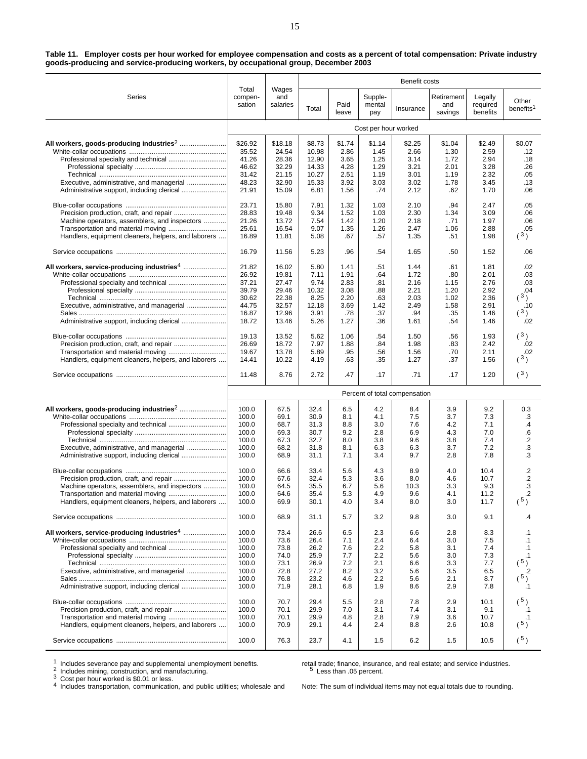| Table 11. Employer costs per hour worked for employee compensation and costs as a percent of total compensation: Private industry |  |  |  |
|-----------------------------------------------------------------------------------------------------------------------------------|--|--|--|
| goods-producing and service-producing workers, by occupational group, December 2003                                               |  |  |  |

|                                                                                                                                                                                       |                                                                      |                                                                      |                                                                |                                                             |                                                       |                                                      | Benefit costs<br>Retirement<br>Legally<br>and<br>required<br>savings<br>benefits<br>\$2.25<br>\$1.04<br>\$2.49<br>2.66<br>1.30<br>2.59<br>3.14<br>2.94<br>1.72<br>2.01<br>3.28<br>3.21<br>3.01<br>1.19<br>2.32<br>3.02<br>1.78<br>3.45<br>2.12<br>.62<br>1.70<br>2.10<br>.94<br>2.47<br>2.30<br>3.09<br>1.34<br>2.18<br>.71<br>1.97<br>2.47<br>1.06<br>2.88<br>.51<br>1.35<br>1.98<br>1.65<br>.50<br>1.52<br>1.44<br>.61<br>1.81<br>1.72<br>2.01<br>.80<br>2.16<br>2.76<br>1.15<br>2.21<br>1.20<br>2.92<br>2.03<br>1.02<br>2.36<br>2.49<br>1.58<br>2.91<br>.94<br>.35<br>1.46<br>1.61<br>.54<br>1.46<br>1.50<br>.56<br>1.93<br>1.98<br>2.42<br>.83<br>1.56<br>.70<br>2.11<br>1.27<br>.37<br>1.56<br>.71<br>.17<br>1.20<br>3.9<br>9.2<br>8.4<br>7.5<br>3.7<br>7.3<br>7.6<br>4.2<br>7.1<br>4.3<br>7.0<br>6.9<br>3.8<br>7.4<br>9.6<br>3.7<br>7.2<br>6.3<br>2.8<br>9.7<br>7.8 |                                                      |                                                                                      |  |
|---------------------------------------------------------------------------------------------------------------------------------------------------------------------------------------|----------------------------------------------------------------------|----------------------------------------------------------------------|----------------------------------------------------------------|-------------------------------------------------------------|-------------------------------------------------------|------------------------------------------------------|---------------------------------------------------------------------------------------------------------------------------------------------------------------------------------------------------------------------------------------------------------------------------------------------------------------------------------------------------------------------------------------------------------------------------------------------------------------------------------------------------------------------------------------------------------------------------------------------------------------------------------------------------------------------------------------------------------------------------------------------------------------------------------------------------------------------------------------------------------------------------|------------------------------------------------------|--------------------------------------------------------------------------------------|--|
| Series                                                                                                                                                                                | Total<br>compen-<br>sation                                           | Wages<br>and<br>salaries                                             | Total                                                          | Paid<br>leave                                               | Supple-<br>mental<br>pay                              | Insurance                                            |                                                                                                                                                                                                                                                                                                                                                                                                                                                                                                                                                                                                                                                                                                                                                                                                                                                                           |                                                      | Other<br>benefits <sup>1</sup>                                                       |  |
|                                                                                                                                                                                       |                                                                      |                                                                      |                                                                |                                                             | Cost per hour worked                                  |                                                      |                                                                                                                                                                                                                                                                                                                                                                                                                                                                                                                                                                                                                                                                                                                                                                                                                                                                           |                                                      |                                                                                      |  |
| Executive, administrative, and managerial                                                                                                                                             | \$26.92<br>35.52<br>41.26<br>46.62<br>31.42<br>48.23<br>21.91        | \$18.18<br>24.54<br>28.36<br>32.29<br>21.15<br>32.90<br>15.09        | \$8.73<br>10.98<br>12.90<br>14.33<br>10.27<br>15.33<br>6.81    | \$1.74<br>2.86<br>3.65<br>4.28<br>2.51<br>3.92<br>1.56      | \$1.14<br>1.45<br>1.25<br>1.29<br>1.19<br>3.03<br>.74 |                                                      |                                                                                                                                                                                                                                                                                                                                                                                                                                                                                                                                                                                                                                                                                                                                                                                                                                                                           |                                                      | \$0.07<br>.12<br>.18<br>.26<br>.05<br>.13<br>.06                                     |  |
| Machine operators, assemblers, and inspectors<br>Handlers, equipment cleaners, helpers, and laborers                                                                                  | 23.71<br>28.83<br>21.26<br>25.61<br>16.89                            | 15.80<br>19.48<br>13.72<br>16.54<br>11.81                            | 7.91<br>9.34<br>7.54<br>9.07<br>5.08                           | 1.32<br>1.52<br>1.42<br>1.35<br>.67                         | 1.03<br>1.03<br>1.20<br>1.26<br>.57                   |                                                      |                                                                                                                                                                                                                                                                                                                                                                                                                                                                                                                                                                                                                                                                                                                                                                                                                                                                           |                                                      | .05<br>.06<br>.06<br>.05<br>(3)                                                      |  |
|                                                                                                                                                                                       | 16.79                                                                | 11.56                                                                | 5.23                                                           | .96                                                         | .54                                                   |                                                      |                                                                                                                                                                                                                                                                                                                                                                                                                                                                                                                                                                                                                                                                                                                                                                                                                                                                           |                                                      | .06                                                                                  |  |
| All workers, service-producing industries <sup>4</sup><br>Executive, administrative, and managerial                                                                                   | 21.82<br>26.92<br>37.21<br>39.79<br>30.62<br>44.75<br>16.87<br>18.72 | 16.02<br>19.81<br>27.47<br>29.46<br>22.38<br>32.57<br>12.96<br>13.46 | 5.80<br>7.11<br>9.74<br>10.32<br>8.25<br>12.18<br>3.91<br>5.26 | 1.41<br>1.91<br>2.83<br>3.08<br>2.20<br>3.69<br>.78<br>1.27 | .51<br>.64<br>.81<br>.88<br>.63<br>1.42<br>.37<br>.36 |                                                      |                                                                                                                                                                                                                                                                                                                                                                                                                                                                                                                                                                                                                                                                                                                                                                                                                                                                           |                                                      | .02<br>.03<br>.03<br>.04<br>(3)<br>.10<br>(3)<br>.02                                 |  |
| Transportation and material moving<br>Handlers, equipment cleaners, helpers, and laborers                                                                                             | 19.13<br>26.69<br>19.67<br>14.41                                     | 13.52<br>18.72<br>13.78<br>10.22                                     | 5.62<br>7.97<br>5.89<br>4.19                                   | 1.06<br>1.88<br>.95<br>.63                                  | .54<br>.84<br>.56<br>.35                              |                                                      |                                                                                                                                                                                                                                                                                                                                                                                                                                                                                                                                                                                                                                                                                                                                                                                                                                                                           |                                                      | (3)<br>.02<br>.02<br>(3)                                                             |  |
|                                                                                                                                                                                       | 11.48                                                                | 8.76                                                                 | 2.72                                                           | .47                                                         | .17                                                   |                                                      |                                                                                                                                                                                                                                                                                                                                                                                                                                                                                                                                                                                                                                                                                                                                                                                                                                                                           |                                                      | (3)                                                                                  |  |
|                                                                                                                                                                                       |                                                                      |                                                                      |                                                                |                                                             |                                                       | Percent of total compensation                        |                                                                                                                                                                                                                                                                                                                                                                                                                                                                                                                                                                                                                                                                                                                                                                                                                                                                           |                                                      |                                                                                      |  |
| Executive, administrative, and managerial<br>Administrative support, including clerical                                                                                               | 100.0<br>100.0<br>100.0<br>100.0<br>100.0<br>100.0<br>100.0          | 67.5<br>69.1<br>68.7<br>69.3<br>67.3<br>68.2<br>68.9                 | 32.4<br>30.9<br>31.3<br>30.7<br>32.7<br>31.8<br>31.1           | 6.5<br>8.1<br>8.8<br>9.2<br>8.0<br>8.1<br>7.1               | 4.2<br>4.1<br>3.0<br>2.8<br>3.8<br>6.3<br>3.4         |                                                      |                                                                                                                                                                                                                                                                                                                                                                                                                                                                                                                                                                                                                                                                                                                                                                                                                                                                           |                                                      | 0.3<br>.3<br>$\cdot$<br>6.6<br>$\cdot$<br>.3<br>.3                                   |  |
| Precision production, craft, and repair<br>Machine operators, assemblers, and inspectors<br>Transportation and material moving<br>Handlers, equipment cleaners, helpers, and laborers | 100.0<br>100.0<br>100.0<br>100.0<br>100.0<br>100.0                   | 66.6<br>67.6<br>64.5<br>64.6<br>69.9<br>68.9                         | 33.4<br>32.4<br>35.5<br>35.4<br>30.1<br>31.1                   | 5.6<br>5.3<br>6.7<br>5.3<br>4.0<br>5.7                      | 4.3<br>3.6<br>5.6<br>4.9<br>3.4<br>3.2                | 8.9<br>8.0<br>10.3<br>9.6<br>8.0<br>9.8              | 4.0<br>4.6<br>3.3<br>4.1<br>3.0<br>3.0                                                                                                                                                                                                                                                                                                                                                                                                                                                                                                                                                                                                                                                                                                                                                                                                                                    | 10.4<br>10.7<br>9.3<br>11.2<br>11.7<br>9.1           | .2<br>$\cdot$<br>З.<br>.2<br>$(^{5})$<br>.4                                          |  |
| Executive, administrative, and managerial<br>Administrative support, including clerical                                                                                               | 100.0<br>100.0<br>100.0<br>100.0<br>100.0<br>100.0<br>100.0<br>100.0 | 73.4<br>73.6<br>73.8<br>74.0<br>73.1<br>72.8<br>76.8<br>71.9         | 26.6<br>26.4<br>26.2<br>25.9<br>26.9<br>27.2<br>23.2<br>28.1   | 6.5<br>7.1<br>7.6<br>7.7<br>7.2<br>8.2<br>4.6<br>6.8        | 2.3<br>2.4<br>2.2<br>2.2<br>2.1<br>3.2<br>2.2<br>1.9  | 6.6<br>6.4<br>5.8<br>5.6<br>6.6<br>5.6<br>5.6<br>8.6 | 2.8<br>3.0<br>3.1<br>3.0<br>3.3<br>3.5<br>2.1<br>2.9                                                                                                                                                                                                                                                                                                                                                                                                                                                                                                                                                                                                                                                                                                                                                                                                                      | 8.3<br>7.5<br>7.4<br>7.3<br>7.7<br>6.5<br>8.7<br>7.8 | $\cdot$ 1<br>$\cdot$ 1<br>$\cdot$ 1<br>$\cdot$ 1<br>$(^{5})$<br>.2<br>$(^{5})$<br>.1 |  |
| Handlers, equipment cleaners, helpers, and laborers                                                                                                                                   | 100.0<br>100.0<br>100.0<br>100.0<br>100.0                            | 70.7<br>70.1<br>70.1<br>70.9<br>76.3                                 | 29.4<br>29.9<br>29.9<br>29.1<br>23.7                           | 5.5<br>7.0<br>4.8<br>4.4<br>4.1                             | 2.8<br>3.1<br>2.8<br>2.4<br>1.5                       | 7.8<br>7.4<br>7.9<br>8.8<br>6.2                      | 2.9<br>3.1<br>3.6<br>2.6<br>1.5                                                                                                                                                                                                                                                                                                                                                                                                                                                                                                                                                                                                                                                                                                                                                                                                                                           | 10.1<br>9.1<br>10.7<br>10.8<br>10.5                  | (5)<br>.1<br>.1<br>(5)<br>$(^{5})$                                                   |  |

1 Includes severance pay and supplemental unemployment benefits.<br>
<sup>2</sup> Includes mining, construction, and manufacturing.<br>
<sup>3</sup> Cost per hour worked is \$0.01 or less.<br>
<sup>4</sup> Includes transportation, communication, and public u

retail trade; finance, insurance, and real estate; and service industries.<br>
<sup>5</sup> Less than .05 percent.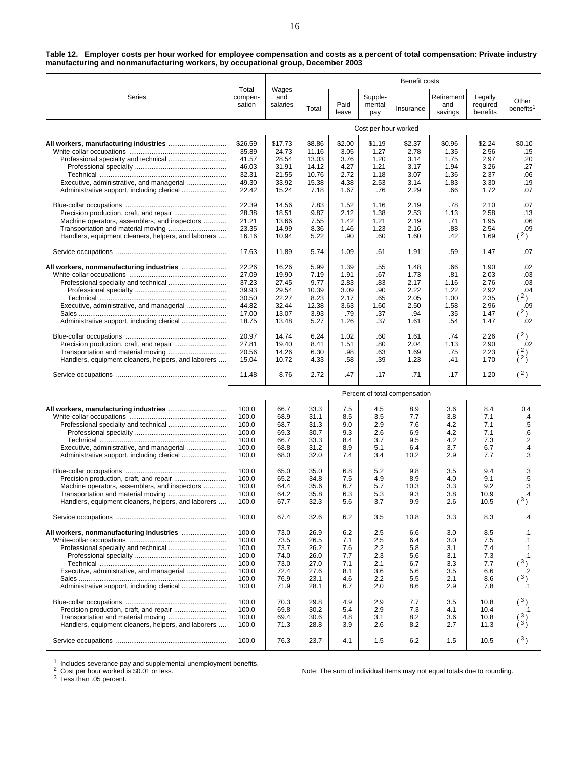**Table 12. Employer costs per hour worked for employee compensation and costs as a percent of total compensation: Private industry manufacturing and nonmanufacturing workers, by occupational group, December 2003**

|                                                     |                                  |                              |                              |                          |                          | Benefit costs                 |                              |                                 |                                |
|-----------------------------------------------------|----------------------------------|------------------------------|------------------------------|--------------------------|--------------------------|-------------------------------|------------------------------|---------------------------------|--------------------------------|
| Series                                              | Total<br>compen-<br>sation       | Wages<br>and<br>salaries     | Total                        | Paid<br>leave            | Supple-<br>mental<br>pay | Insurance                     | Retirement<br>and<br>savings | Legally<br>required<br>benefits | Other<br>benefits <sup>1</sup> |
|                                                     |                                  |                              |                              |                          | Cost per hour worked     |                               |                              |                                 |                                |
|                                                     | \$26.59                          | \$17.73                      | \$8.86                       | \$2.00                   | \$1.19                   | \$2.37                        | \$0.96                       | \$2.24                          | \$0.10                         |
|                                                     | 35.89                            | 24.73                        | 11.16                        | 3.05                     | 1.27                     | 2.78                          | 1.35                         | 2.56                            | .15                            |
|                                                     | 41.57                            | 28.54                        | 13.03                        | 3.76                     | 1.20                     | 3.14                          | 1.75                         | 2.97                            | .20                            |
|                                                     | 46.03                            | 31.91                        | 14.12                        | 4.27                     | 1.21                     | 3.17                          | 1.94                         | 3.26                            | .27                            |
|                                                     | 32.31                            | 21.55                        | 10.76                        | 2.72                     | 1.18                     | 3.07                          | 1.36                         | 2.37                            | .06                            |
| Executive, administrative, and managerial           | 49.30                            | 33.92                        | 15.38                        | 4.38                     | 2.53                     | 3.14                          | 1.83                         | 3.30                            | .19                            |
|                                                     | 22.42                            | 15.24                        | 7.18                         | 1.67                     | .76                      | 2.29                          | .66                          | 1.72                            | .07                            |
|                                                     | 22.39                            | 14.56                        | 7.83                         | 1.52                     | 1.16                     | 2.19                          | .78                          | 2.10                            | .07                            |
|                                                     | 28.38                            | 18.51                        | 9.87                         | 2.12                     | 1.38                     | 2.53                          | 1.13                         | 2.58                            | .13                            |
| Machine operators, assemblers, and inspectors       | 21.21                            | 13.66                        | 7.55                         | 1.42                     | 1.21                     | 2.19                          | .71                          | 1.95                            | .06                            |
| Transportation and material moving                  | 23.35                            | 14.99                        | 8.36                         | 1.46                     | 1.23                     | 2.16                          | .88                          | 2.54                            | .09                            |
| Handlers, equipment cleaners, helpers, and laborers | 16.16                            | 10.94                        | 5.22                         | .90                      | .60                      | 1.60                          | .42                          | 1.69                            | (2)                            |
|                                                     | 17.63                            | 11.89                        | 5.74                         | 1.09                     | .61                      | 1.91                          | .59                          | 1.47                            | .07                            |
|                                                     | 22.26                            | 16.26                        | 5.99                         | 1.39                     | .55                      | 1.48                          | .66                          | 1.90                            | .02                            |
|                                                     | 27.09                            | 19.90                        | 7.19                         | 1.91                     | .67                      | 1.73                          | .81                          | 2.03                            | .03                            |
|                                                     | 37.23                            | 27.45                        | 9.77                         | 2.83                     | .83                      | 2.17                          | 1.16                         | 2.76                            | .03                            |
|                                                     | 39.93                            | 29.54                        | 10.39                        | 3.09                     | .90                      | 2.22                          | 1.22                         | 2.92                            | .04                            |
|                                                     | 30.50                            | 22.27                        | 8.23                         | 2.17                     | .65                      | 2.05                          | 1.00                         | 2.35                            | (2)                            |
| Executive, administrative, and managerial           | 44.82                            | 32.44                        | 12.38                        | 3.63                     | 1.60                     | 2.50                          | 1.58                         | 2.96                            | .09                            |
|                                                     | 17.00                            | 13.07                        | 3.93                         | .79                      | .37                      | .94                           | .35                          | 1.47                            | $\binom{2}{ }$                 |
|                                                     | 18.75                            | 13.48                        | 5.27                         | 1.26                     | .37                      | 1.61                          | .54                          | 1.47                            | .02                            |
|                                                     | 20.97                            | 14.74                        | 6.24                         | 1.02                     | .60                      | 1.61                          | .74                          | 2.26                            | (2)                            |
| Precision production, craft, and repair             | 27.81                            | 19.40                        | 8.41                         | 1.51                     | .80                      | 2.04                          | 1.13                         | 2.90                            | .02                            |
|                                                     | 20.56                            | 14.26                        | 6.30                         | .98                      | .63                      | 1.69                          | .75                          | 2.23                            | (2)                            |
| Handlers, equipment cleaners, helpers, and laborers | 15.04                            | 10.72                        | 4.33                         | .58                      | .39                      | 1.23                          | .41                          | 1.70                            | $\lambda^2$                    |
|                                                     | 11.48                            | 8.76                         | 2.72                         | .47                      | .17                      | .71                           | .17                          | 1.20                            | (2)                            |
|                                                     |                                  |                              |                              |                          |                          |                               |                              |                                 |                                |
|                                                     |                                  |                              |                              |                          |                          | Percent of total compensation |                              |                                 |                                |
|                                                     | 100.0                            | 66.7                         | 33.3                         | 7.5                      | 4.5                      | 8.9                           | 3.6                          | 8.4                             | 0.4                            |
|                                                     | 100.0                            | 68.9                         | 31.1                         | 8.5                      | 3.5                      | 7.7                           | 3.8                          | 7.1                             | $\cdot$                        |
|                                                     | 100.0                            | 68.7                         | 31.3                         | 9.0                      | 2.9                      | 7.6                           | 4.2                          | 7.1                             | .5                             |
|                                                     | 100.0                            | 69.3                         | 30.7                         | 9.3                      | 2.6                      | 6.9                           | 4.2                          | 7.1                             | .6                             |
|                                                     | 100.0                            | 66.7                         | 33.3                         | 8.4                      | 3.7                      | 9.5                           | 4.2                          | 7.3                             | $\cdot$                        |
| Executive, administrative, and managerial           | 100.0                            | 68.8                         | 31.2                         | 8.9                      | 5.1                      | 6.4                           | 3.7                          | 6.7                             | $\cdot$                        |
| Administrative support, including clerical          | 100.0                            | 68.0                         | 32.0                         | 7.4                      | 3.4                      | 10.2                          | 2.9                          | 7.7                             | .3                             |
|                                                     | 100.0                            | 65.0                         | 35.0                         | 6.8                      | 5.2                      | 9.8                           | 3.5                          | 9.4                             | .3                             |
|                                                     | 100.0                            | 65.2                         | 34.8                         | 7.5                      | 4.9                      | 8.9                           | 4.0                          | 9.1                             | .5                             |
| Machine operators, assemblers, and inspectors       | 100.0                            | 64.4                         | 35.6                         | 6.7                      | 5.7                      | 10.3                          | 3.3                          | 9.2                             | $\cdot$ 3                      |
| Transportation and material moving                  | 100.0                            | 64.2                         | 35.8                         | 6.3                      | 5.3                      | 9.3                           | 3.8                          | 10.9                            | .4                             |
| Handlers, equipment cleaners, helpers, and laborers | 100.0                            | 67.7                         | 32.3                         | 5.6                      | 3.7                      | 9.9                           | 2.6                          | 10.5                            | (3)                            |
|                                                     | 100.0                            | 67.4                         | 32.6                         | 6.2                      | 3.5                      | 10.8                          | 3.3                          | 8.3                             | .4                             |
|                                                     | 100.0                            | 73.0                         | 26.9                         | 6.2                      | 2.5                      | 6.6                           | 3.0                          | 8.5                             | $\cdot$ 1                      |
|                                                     | 100.0                            | 73.5                         | 26.5                         | 7.1                      | 2.5                      | 6.4                           | 3.0                          | 7.5                             | $\cdot$ 1                      |
|                                                     | 100.0                            | 73.7                         | 26.2                         | 7.6                      | 2.2                      | 5.8                           | 3.1                          | 7.4                             | $\cdot$ 1                      |
|                                                     | 100.0                            | 74.0                         | 26.0                         | 7.7                      | 2.3                      | 5.6                           | 3.1                          | 7.3                             | $\cdot$ 1                      |
|                                                     | 100.0                            | 73.0                         | 27.0                         | 7.1                      | 2.1                      | 6.7                           | 3.3                          | 7.7                             | (3)                            |
| Executive, administrative, and managerial           | 100.0                            | 72.4                         | 27.6                         | 8.1                      | 3.6                      | 5.6                           | 3.5                          | 6.6                             | .2                             |
|                                                     | 100.0                            | 76.9                         | 23.1                         | 4.6                      | 2.2                      | 5.5                           | 2.1                          | 8.6                             | $(\sqrt[3]{})$                 |
|                                                     | 100.0                            | 71.9                         | 28.1                         | 6.7                      | 2.0                      | 8.6                           | 2.9                          | 7.8                             | $\cdot$ 1                      |
| Handlers, equipment cleaners, helpers, and laborers | 100.0<br>100.0<br>100.0<br>100.0 | 70.3<br>69.8<br>69.4<br>71.3 | 29.8<br>30.2<br>30.6<br>28.8 | 4.9<br>5.4<br>4.8<br>3.9 | 2.9<br>2.9<br>3.1<br>2.6 | 7.7<br>7.3<br>8.2<br>8.2      | 3.5<br>4.1<br>3.6<br>2.7     | 10.8<br>10.4<br>10.8<br>11.3    | $({}^{3})$<br>(3)<br>(3)       |
|                                                     | 100.0                            | 76.3                         | 23.7                         | 4.1                      | 1.5                      | 6.2                           | 1.5                          | 10.5                            | $(^{3})$                       |

1 Includes severance pay and supplemental unemployment benefits.<br>
<sup>2</sup> Cost per hour worked is \$0.01 or less.<br>
<sup>3</sup> Less than .05 percent.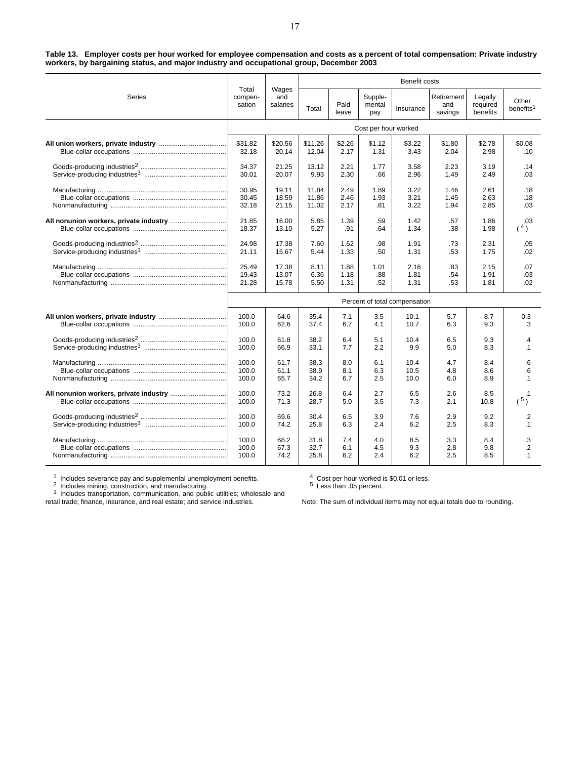**Table 13. Employer costs per hour worked for employee compensation and costs as a percent of total compensation: Private industry workers, by bargaining status, and major industry and occupational group, December 2003**

|        |                            |                          |         |               |                          | Benefit costs                 |                              |                                 |                                |
|--------|----------------------------|--------------------------|---------|---------------|--------------------------|-------------------------------|------------------------------|---------------------------------|--------------------------------|
| Series | Total<br>compen-<br>sation | Wages<br>and<br>salaries | Total   | Paid<br>leave | Supple-<br>mental<br>pay | Insurance                     | Retirement<br>and<br>savings | Legally<br>required<br>benefits | Other<br>benefits <sup>1</sup> |
|        |                            |                          |         |               | Cost per hour worked     |                               |                              |                                 |                                |
|        | \$31.82                    | \$20.56                  | \$11.26 | \$2.26        | \$1.12                   | \$3.22                        | \$1.80                       | \$2.78                          | \$0.08                         |
|        | 32.18                      | 20.14                    | 12.04   | 2.17          | 1.31                     | 3.43                          | 2.04                         | 2.98                            | .10                            |
|        | 34.37                      | 21.25                    | 13.12   | 2.21          | 1.77                     | 3.58                          | 2.23                         | 3.19                            | .14                            |
|        | 30.01                      | 20.07                    | 9.93    | 2.30          | .66                      | 2.96                          | 1.49                         | 2.49                            | .03                            |
|        | 30.95                      | 19.11                    | 11.84   | 2.49          | 1.89                     | 3.22                          | 1.46                         | 2.61                            | .18                            |
|        | 30.45                      | 18.59                    | 11.86   | 2.46          | 1.93                     | 3.21                          | 1.45                         | 2.63                            | .18                            |
|        | 32.18                      | 21.15                    | 11.02   | 2.17          | .81                      | 3.22                          | 1.94                         | 2.85                            | .03                            |
|        | 21.85                      | 16.00                    | 5.85    | 1.39          | .59                      | 1.42                          | .57                          | 1.86                            | .03                            |
|        | 18.37                      | 13.10                    | 5.27    | .91           | .64                      | 1.34                          | .38                          | 1.98                            | (4)                            |
|        | 24.98                      | 17.38                    | 7.60    | 1.62          | .98                      | 1.91                          | .73                          | 2.31                            | .05                            |
|        | 21.11                      | 15.67                    | 5.44    | 1.33          | .50                      | 1.31                          | .53                          | 1.75                            | .02                            |
|        | 25.49                      | 17.38                    | 8.11    | 1.88          | 1.01                     | 2.16                          | .83                          | 2.15                            | .07                            |
|        | 19.43                      | 13.07                    | 6.36    | 1.18          | .88                      | 1.81                          | .54                          | 1.91                            | .03                            |
|        | 21.28                      | 15.78                    | 5.50    | 1.31          | .52                      | 1.31                          | .53                          | 1.81                            | .02                            |
|        |                            |                          |         |               |                          | Percent of total compensation |                              |                                 |                                |
|        | 100.0                      | 64.6                     | 35.4    | 7.1           | 3.5                      | 10.1                          | 5.7                          | 8.7                             | 0.3                            |
|        | 100.0                      | 62.6                     | 37.4    | 6.7           | 4.1                      | 10.7                          | 6.3                          | 9.3                             | .3                             |
|        | 100.0                      | 61.8                     | 38.2    | 6.4           | 5.1                      | 10.4                          | 6.5                          | 9.3                             | $\cdot$                        |
|        | 100.0                      | 66.9                     | 33.1    | 7.7           | 2.2                      | 9.9                           | 5.0                          | 8.3                             | $\cdot$ 1                      |
|        | 100.0                      | 61.7                     | 38.3    | 8.0           | 6.1                      | 10.4                          | 4.7                          | 8.4                             | .6                             |
|        | 100.0                      | 61.1                     | 38.9    | 8.1           | 6.3                      | 10.5                          | 4.8                          | 8.6                             | $6 \cdot$                      |
|        | 100.0                      | 65.7                     | 34.2    | 6.7           | 2.5                      | 10.0                          | 6.0                          | 8.9                             | $\cdot$ 1                      |
|        | 100.0                      | 73.2                     | 26.8    | 6.4           | 2.7                      | 6.5                           | 2.6                          | 8.5                             | $\cdot$ 1                      |
|        | 100.0                      | 71.3                     | 28.7    | 5.0           | 3.5                      | 7.3                           | 2.1                          | 10.8                            | (5)                            |
|        | 100.0                      | 69.6                     | 30.4    | 6.5           | 3.9                      | 7.6                           | 2.9                          | 9.2                             | .2                             |
|        | 100.0                      | 74.2                     | 25.8    | 6.3           | 2.4                      | 6.2                           | 2.5                          | 8.3                             | $\cdot$ 1                      |
|        | 100.0                      | 68.2                     | 31.8    | 7.4           | 4.0                      | 8.5                           | 3.3                          | 8.4                             | .3                             |
|        | 100.0                      | 67.3                     | 32.7    | 6.1           | 4.5                      | 9.3                           | 2.8                          | 9.8                             | $\overline{2}$                 |
|        | 100.0                      | 74.2                     | 25.8    | 6.2           | 2.4                      | 6.2                           | 2.5                          | 8.5                             | $\cdot$ 1                      |

1 Includes severance pay and supplemental unemployment benefits.<br><sup>2</sup> Includes mining, construction, and manufacturing.<br><sup>3</sup> Includes transportation, communication, and public utilities; wholesale and

retail trade; finance, insurance, and real estate; and service industries.

<sup>4</sup> Cost per hour worked is \$0.01 or less. <sup>5</sup> Less than .05 percent.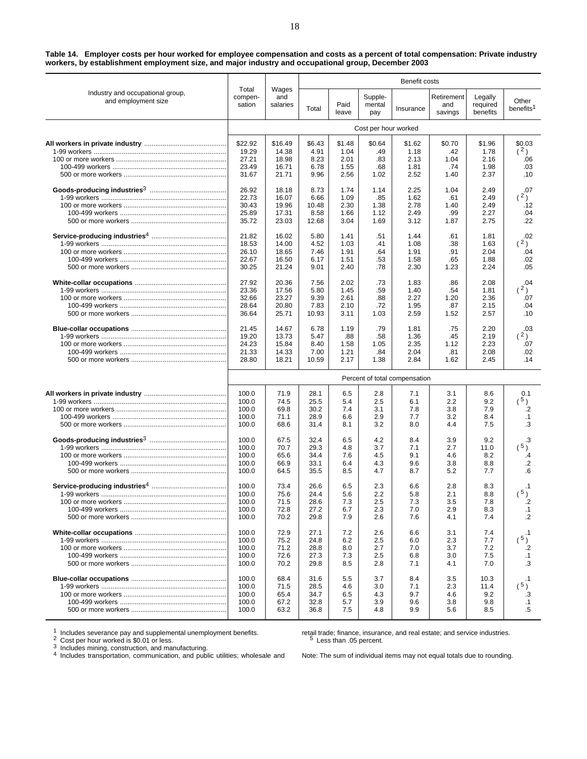**Table 14. Employer costs per hour worked for employee compensation and costs as a percent of total compensation: Private industry workers, by establishment employment size, and major industry and occupational group, December 2003**

|                                                         |                            |                          |        |               |                          | Benefit costs                 |                              |                                                                                                                                                                                                                                                                                                                                                                                                                             |                                |
|---------------------------------------------------------|----------------------------|--------------------------|--------|---------------|--------------------------|-------------------------------|------------------------------|-----------------------------------------------------------------------------------------------------------------------------------------------------------------------------------------------------------------------------------------------------------------------------------------------------------------------------------------------------------------------------------------------------------------------------|--------------------------------|
| Industry and occupational group,<br>and employment size | Total<br>compen-<br>sation | Wages<br>and<br>salaries | Total  | Paid<br>leave | Supple-<br>mental<br>pay | Insurance                     | Retirement<br>and<br>savings | Legally<br>required<br>benefits<br>\$1.96<br>1.78<br>2.16<br>1.98<br>2.37<br>2.49<br>2.49<br>2.49<br>2.27<br>2.75<br>1.81<br>1.63<br>2.04<br>1.88<br>2.24<br>2.08<br>1.81<br>2.36<br>2.15<br>2.57<br>2.20<br>2.19<br>2.23<br>2.08<br>2.45<br>8.6<br>9.2<br>7.9<br>8.4<br>7.5<br>9.2<br>11.0<br>8.2<br>8.8<br>7.7<br>8.3<br>8.8<br>7.8<br>8.3<br>7.4<br>7.4<br>7.7<br>7.2<br>7.5<br>7.0<br>10.3<br>11.4<br>9.2<br>9.8<br>8.5 | Other<br>benefits <sup>1</sup> |
|                                                         |                            |                          |        |               | Cost per hour worked     |                               |                              |                                                                                                                                                                                                                                                                                                                                                                                                                             |                                |
|                                                         | \$22.92                    | \$16.49                  | \$6.43 | \$1.48        | \$0.64                   | \$1.62                        | \$0.70                       |                                                                                                                                                                                                                                                                                                                                                                                                                             | \$0.03                         |
|                                                         | 19.29                      | 14.38                    | 4.91   | 1.04          | .49                      | 1.18                          | .42                          |                                                                                                                                                                                                                                                                                                                                                                                                                             | (2)                            |
|                                                         | 27.21                      | 18.98                    | 8.23   | 2.01          | .83                      | 2.13                          | 1.04                         |                                                                                                                                                                                                                                                                                                                                                                                                                             | .06                            |
|                                                         | 23.49                      | 16.71                    | 6.78   | 1.55          | .68                      | 1.81                          | .74                          |                                                                                                                                                                                                                                                                                                                                                                                                                             | .03                            |
|                                                         | 31.67                      | 21.71                    | 9.96   | 2.56          | 1.02                     | 2.52                          | 1.40                         |                                                                                                                                                                                                                                                                                                                                                                                                                             | .10                            |
|                                                         | 26.92                      | 18.18                    | 8.73   | 1.74          | 1.14                     | 2.25                          | 1.04                         |                                                                                                                                                                                                                                                                                                                                                                                                                             | .07                            |
|                                                         | 22.73                      | 16.07                    | 6.66   | 1.09          | .85                      | 1.62                          | .61                          |                                                                                                                                                                                                                                                                                                                                                                                                                             | (2)                            |
|                                                         | 30.43                      | 19.96                    | 10.48  | 2.30          | 1.38                     | 2.78                          | 1.40                         |                                                                                                                                                                                                                                                                                                                                                                                                                             | .12                            |
|                                                         | 25.89                      | 17.31                    | 8.58   | 1.66          | 1.12                     | 2.49                          | .99                          |                                                                                                                                                                                                                                                                                                                                                                                                                             | .04                            |
|                                                         | 35.72                      | 23.03                    | 12.68  | 3.04          | 1.69                     | 3.12                          | 1.87                         |                                                                                                                                                                                                                                                                                                                                                                                                                             | .22                            |
|                                                         | 21.82                      | 16.02                    | 5.80   | 1.41          | .51                      | 1.44                          | .61                          |                                                                                                                                                                                                                                                                                                                                                                                                                             | .02                            |
|                                                         | 18.53                      | 14.00                    | 4.52   | 1.03          | .41                      | 1.08                          | .38                          |                                                                                                                                                                                                                                                                                                                                                                                                                             | (2)                            |
|                                                         | 26.10                      | 18.65                    | 7.46   | 1.91          | .64                      | 1.91                          | .91                          |                                                                                                                                                                                                                                                                                                                                                                                                                             | .04                            |
|                                                         | 22.67                      | 16.50                    | 6.17   | 1.51          | .53                      | 1.58                          | .65                          |                                                                                                                                                                                                                                                                                                                                                                                                                             | .02                            |
|                                                         | 30.25                      | 21.24                    | 9.01   | 2.40          | .78                      | 2.30                          | 1.23                         |                                                                                                                                                                                                                                                                                                                                                                                                                             | .05                            |
|                                                         | 27.92                      | 20.36                    | 7.56   | 2.02          | .73                      | 1.83                          | .86                          |                                                                                                                                                                                                                                                                                                                                                                                                                             | .04                            |
|                                                         | 23.36                      | 17.56                    | 5.80   | 1.45          | .59                      | 1.40                          | .54                          |                                                                                                                                                                                                                                                                                                                                                                                                                             | (2)                            |
|                                                         | 32.66                      | 23.27                    | 9.39   | 2.61          | .88                      | 2.27                          | 1.20                         |                                                                                                                                                                                                                                                                                                                                                                                                                             | .07                            |
|                                                         | 28.64                      | 20.80                    | 7.83   | 2.10          | .72                      | 1.95                          | .87                          |                                                                                                                                                                                                                                                                                                                                                                                                                             | .04                            |
|                                                         | 36.64                      | 25.71                    | 10.93  | 3.11          | 1.03                     | 2.59                          | 1.52                         |                                                                                                                                                                                                                                                                                                                                                                                                                             | .10                            |
|                                                         | 21.45                      | 14.67                    | 6.78   | 1.19          | .79                      | 1.81                          | .75                          |                                                                                                                                                                                                                                                                                                                                                                                                                             | .03                            |
|                                                         | 19.20                      | 13.73                    | 5.47   | .88           | .58                      | 1.36                          | .45                          |                                                                                                                                                                                                                                                                                                                                                                                                                             | (2)                            |
|                                                         | 24.23                      | 15.84                    | 8.40   | 1.58          | 1.05                     | 2.35                          | 1.12                         |                                                                                                                                                                                                                                                                                                                                                                                                                             | .07                            |
|                                                         | 21.33                      | 14.33                    | 7.00   | 1.21          | .84                      | 2.04                          | .81                          |                                                                                                                                                                                                                                                                                                                                                                                                                             | .02                            |
|                                                         | 28.80                      | 18.21                    | 10.59  | 2.17          | 1.38                     | 2.84                          | 1.62                         |                                                                                                                                                                                                                                                                                                                                                                                                                             | .14                            |
|                                                         |                            |                          |        |               |                          | Percent of total compensation |                              |                                                                                                                                                                                                                                                                                                                                                                                                                             |                                |
|                                                         | 100.0                      | 71.9                     | 28.1   | 6.5           | 2.8                      | 7.1                           | 3.1                          |                                                                                                                                                                                                                                                                                                                                                                                                                             | 0.1                            |
|                                                         | 100.0                      | 74.5                     | 25.5   | 5.4           | 2.5                      | 6.1                           | 2.2                          |                                                                                                                                                                                                                                                                                                                                                                                                                             | (5)                            |
|                                                         | 100.0                      | 69.8                     | 30.2   | 7.4           | 3.1                      | 7.8                           | 3.8                          |                                                                                                                                                                                                                                                                                                                                                                                                                             | .2                             |
|                                                         | 100.0                      | 71.1                     | 28.9   | 6.6           | 2.9                      | 7.7                           | 3.2                          |                                                                                                                                                                                                                                                                                                                                                                                                                             | $\cdot$ 1                      |
|                                                         | 100.0                      | 68.6                     | 31.4   | 8.1           | 3.2                      | 8.0                           | 4.4                          |                                                                                                                                                                                                                                                                                                                                                                                                                             | .3                             |
|                                                         | 100.0                      | 67.5                     | 32.4   | 6.5           | 4.2                      | 8.4                           | 3.9                          |                                                                                                                                                                                                                                                                                                                                                                                                                             | .3                             |
|                                                         | 100.0                      | 70.7                     | 29.3   | 4.8           | 3.7                      | 7.1                           | 2.7                          |                                                                                                                                                                                                                                                                                                                                                                                                                             | $(^{5})$                       |
|                                                         | 100.0                      | 65.6                     | 34.4   | 7.6           | 4.5                      | 9.1                           | 4.6                          |                                                                                                                                                                                                                                                                                                                                                                                                                             | .4                             |
|                                                         | 100.0                      | 66.9                     | 33.1   | 6.4           | 4.3                      | 9.6                           | 3.8                          |                                                                                                                                                                                                                                                                                                                                                                                                                             | .2                             |
|                                                         | 100.0                      | 64.5                     | 35.5   | 8.5           | 4.7                      | 8.7                           | 5.2                          |                                                                                                                                                                                                                                                                                                                                                                                                                             | .6                             |
|                                                         | 100.0                      | 73.4                     | 26.6   | 6.5           | 2.3                      | 6.6                           | 2.8                          |                                                                                                                                                                                                                                                                                                                                                                                                                             | $\cdot$ 1                      |
|                                                         | 100.0                      | 75.6                     | 24.4   | 5.6           | 2.2                      | 5.8                           | 2.1                          |                                                                                                                                                                                                                                                                                                                                                                                                                             | $(^{5})$                       |
|                                                         | 100.0                      | 71.5                     | 28.6   | 7.3           | 2.5                      | 7.3                           | 3.5                          |                                                                                                                                                                                                                                                                                                                                                                                                                             | .2                             |
|                                                         | 100.0                      | 72.8                     | 27.2   | 6.7           | 2.3                      | 7.0                           | 2.9                          |                                                                                                                                                                                                                                                                                                                                                                                                                             | $\cdot$ 1                      |
|                                                         | 100.0                      | 70.2                     | 29.8   | 7.9           | 2.6                      | 7.6                           | 4.1                          |                                                                                                                                                                                                                                                                                                                                                                                                                             | .2                             |
|                                                         | 100.0                      | 72.9                     | 27.1   | 7.2           | 2.6                      | 6.6                           | 3.1                          |                                                                                                                                                                                                                                                                                                                                                                                                                             | $\cdot$ 1                      |
|                                                         | 100.0                      | 75.2                     | 24.8   | 6.2           | 2.5                      | 6.0                           | 2.3                          |                                                                                                                                                                                                                                                                                                                                                                                                                             | (5)                            |
|                                                         | 100.0                      | 71.2                     | 28.8   | 8.0           | 2.7                      | 7.0                           | 3.7                          |                                                                                                                                                                                                                                                                                                                                                                                                                             | .2                             |
|                                                         | 100.0                      | 72.6                     | 27.3   | 7.3           | 2.5                      | 6.8                           | 3.0                          |                                                                                                                                                                                                                                                                                                                                                                                                                             | $\cdot$ 1                      |
|                                                         | 100.0                      | 70.2                     | 29.8   | 8.5           | 2.8                      | 7.1                           | 4.1                          |                                                                                                                                                                                                                                                                                                                                                                                                                             | .3                             |
|                                                         | 100.0                      | 68.4                     | 31.6   | 5.5           | 3.7                      | 8.4                           | 3.5                          |                                                                                                                                                                                                                                                                                                                                                                                                                             | $\cdot$ 1                      |
|                                                         | 100.0                      | 71.5                     | 28.5   | 4.6           | 3.0                      | 7.1                           | 2.3                          |                                                                                                                                                                                                                                                                                                                                                                                                                             | $(^{5})$                       |
|                                                         | 100.0                      | 65.4                     | 34.7   | 6.5           | 4.3                      | 9.7                           | 4.6                          |                                                                                                                                                                                                                                                                                                                                                                                                                             | .3                             |
|                                                         | 100.0                      | 67.2                     | 32.8   | 5.7           | 3.9                      | 9.6                           | 3.8                          |                                                                                                                                                                                                                                                                                                                                                                                                                             | $\cdot$ 1                      |
|                                                         | 100.0                      | 63.2                     | 36.8   | 7.5           | 4.8                      | 9.9                           | 5.6                          |                                                                                                                                                                                                                                                                                                                                                                                                                             | .5                             |

1 Includes severance pay and supplemental unemployment benefits.<br>  $2$  Cost per hour worked is \$0.01 or less.<br>  $3$  Includes mining, construction, and manufacturing.<br>  $4$  Includes transportation, communication, and public u

retail trade; finance, insurance, and real estate; and service industries. <sup>5</sup> Less than .05 percent.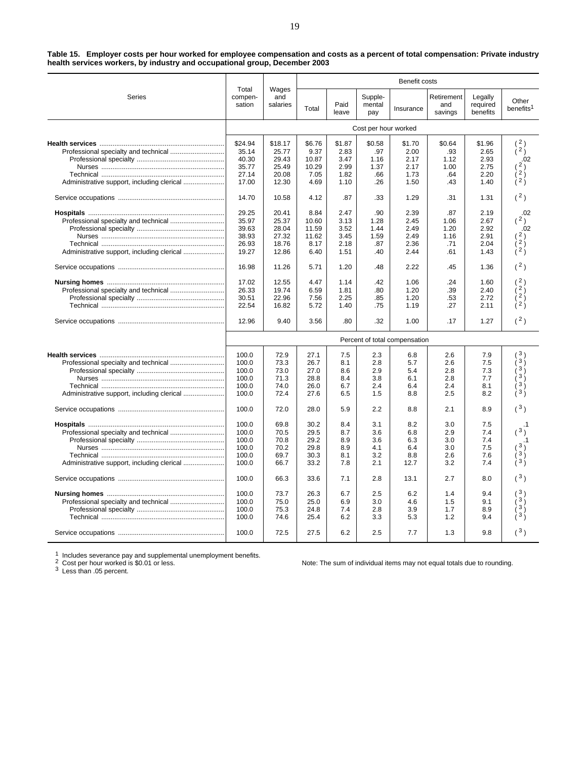**Table 15. Employer costs per hour worked for employee compensation and costs as a percent of total compensation: Private industry health services workers, by industry and occupational group, December 2003**

|                                            |                            |                          |              |               |                          | Benefit costs                 |                              |                                 |                                |
|--------------------------------------------|----------------------------|--------------------------|--------------|---------------|--------------------------|-------------------------------|------------------------------|---------------------------------|--------------------------------|
| Series                                     | Total<br>compen-<br>sation | Wages<br>and<br>salaries | Total        | Paid<br>leave | Supple-<br>mental<br>pay | Insurance                     | Retirement<br>and<br>savings | Legally<br>required<br>benefits | Other<br>benefits <sup>1</sup> |
|                                            |                            |                          |              |               | Cost per hour worked     |                               |                              |                                 |                                |
|                                            | \$24.94                    | \$18.17                  | \$6.76       | \$1.87        | \$0.58                   | \$1.70                        | \$0.64                       | \$1.96                          | $\binom{2}{2}$                 |
|                                            | 35.14                      | 25.77                    | 9.37         | 2.83          | .97                      | 2.00                          | .93                          | 2.65                            |                                |
|                                            | 40.30                      | 29.43                    | 10.87        | 3.47          | 1.16                     | 2.17                          | 1.12                         | 2.93                            | .02                            |
|                                            | 35.77                      | 25.49                    | 10.29        | 2.99          | 1.37                     | 2.17                          | 1.00                         | 2.75                            | 2 <sub>1</sub>                 |
|                                            | 27.14                      | 20.08                    | 7.05         | 1.82          | .66                      | 1.73                          | .64                          | 2.20                            | $\lambda$ 2 $\lambda$          |
|                                            | 17.00                      | 12.30                    | 4.69         | 1.10          | .26                      | 1.50                          | .43                          | 1.40                            | ì <sup>2</sup> )               |
|                                            | 14.70                      | 10.58                    | 4.12         | .87           | .33                      | 1.29                          | .31                          | 1.31                            | (2)                            |
|                                            | 29.25                      | 20.41                    | 8.84         | 2.47          | .90                      | 2.39                          | .87                          | 2.19                            | .02                            |
|                                            | 35.97                      | 25.37                    | 10.60        | 3.13          | 1.28                     | 2.45                          | 1.06                         | 2.67                            | (2)                            |
|                                            | 39.63                      | 28.04                    | 11.59        | 3.52          | 1.44                     | 2.49                          | 1.20                         | 2.92                            | .02                            |
|                                            | 38.93                      | 27.32                    | 11.62        | 3.45          | 1.59                     | 2.49                          | 1.16                         | 2.91                            | 2)                             |
|                                            | 26.93                      | 18.76                    | 8.17         | 2.18          | .87                      | 2.36                          | .71                          | 2.04                            | $i^2$                          |
|                                            | 19.27                      | 12.86                    | 6.40         | 1.51          | .40                      | 2.44                          | .61                          | 1.43                            | $\lambda^2$                    |
|                                            | 16.98                      | 11.26                    | 5.71         | 1.20          | .48                      | 2.22                          | .45                          | 1.36                            | (2)                            |
|                                            | 17.02                      | 12.55                    | 4.47         | 1.14          | .42                      | 1.06                          | .24                          | 1.60                            |                                |
|                                            | 26.33                      | 19.74                    | 6.59         | 1.81          | .80                      | 1.20                          | .39                          | 2.40                            | i 2 j                          |
|                                            | 30.51                      | 22.96                    | 7.56         | 2.25          | .85                      | 1.20                          | .53                          | 2.72                            | $2^{\frac{1}{2}}$              |
|                                            | 22.54                      | 16.82                    | 5.72         | 1.40          | .75                      | 1.19                          | .27                          | 2.11                            | 2j                             |
|                                            | 12.96                      | 9.40                     | 3.56         | .80           | .32                      | 1.00                          | .17                          | 1.27                            | (2)                            |
|                                            |                            |                          |              |               |                          | Percent of total compensation |                              |                                 |                                |
|                                            |                            |                          |              |               |                          |                               |                              |                                 | 3)                             |
|                                            | 100.0<br>100.0             | 72.9<br>73.3             | 27.1<br>26.7 | 7.5           | 2.3<br>2.8               | 6.8<br>5.7                    | 2.6                          | 7.9<br>7.5                      | 3 <sub>1</sub>                 |
|                                            | 100.0                      | 73.0                     | 27.0         | 8.1<br>8.6    | 2.9                      | 5.4                           | 2.6<br>2.8                   | 7.3                             | 3)                             |
|                                            | 100.0                      | 71.3                     | 28.8         | 8.4           | 3.8                      | 6.1                           | 2.8                          | 7.7                             | 3 j                            |
|                                            | 100.0                      | 74.0                     | 26.0         | 6.7           | 2.4                      | 6.4                           | 2.4                          | 8.1                             | $3\overline{)}$                |
| Administrative support, including clerical | 100.0                      | 72.4                     | 27.6         | 6.5           | 1.5                      | 8.8                           | 2.5                          | 8.2                             | 3)                             |
|                                            |                            |                          |              |               |                          |                               |                              |                                 |                                |
|                                            | 100.0                      | 72.0                     | 28.0         | 5.9           | 2.2                      | 8.8                           | 2.1                          | 8.9                             | (3)                            |
|                                            | 100.0                      | 69.8                     | 30.2         | 8.4           | 3.1                      | 8.2                           | 3.0                          | 7.5                             |                                |
|                                            | 100.0                      | 70.5                     | 29.5         | 8.7           | 3.6                      | 6.8                           | 2.9                          | 7.4                             | (3)                            |
|                                            | 100.0                      | 70.8                     | 29.2         | 8.9           | 3.6                      | 6.3                           | 3.0                          | 7.4                             |                                |
|                                            | 100.0                      | 70.2                     | 29.8         | 8.9           | 4.1                      | 6.4                           | 3.0                          | 7.5                             |                                |
|                                            | 100.0                      | 69.7                     | 30.3         | 8.1           | 3.2                      | 8.8                           | 2.6                          | 7.6                             | $3\frac{1}{3}$                 |
| Administrative support, including clerical | 100.0                      | 66.7                     | 33.2         | 7.8           | 2.1                      | 12.7                          | 3.2                          | 7.4                             | 3j                             |
|                                            | 100.0                      | 66.3                     | 33.6         | 7.1           | 2.8                      | 13.1                          | 2.7                          | 8.0                             | (3)                            |
|                                            | 100.0                      | 73.7                     | 26.3         | 6.7           | 2.5                      | 6.2                           | 1.4                          | 9.4                             | 3)                             |
|                                            | 100.0                      | 75.0                     | 25.0         | 6.9           | 3.0                      | 4.6                           | 1.5                          | 9.1                             | 3 <sub>1</sub>                 |
|                                            | 100.0                      | 75.3                     | 24.8         | 7.4           | 2.8                      | 3.9                           | 1.7                          | 8.9                             | $3^{\circ}$                    |
|                                            | 100.0                      | 74.6                     | 25.4         | 6.2           | 3.3                      | 5.3                           | 1.2                          | 9.4                             |                                |
|                                            | 100.0                      | 72.5                     | 27.5         | 6.2           | 2.5                      | 7.7                           | 1.3                          | 9.8                             | (3)                            |

<sup>1</sup> Includes severance pay and supplemental unemployment benefits. <sup>2</sup> Cost per hour worked is \$0.01 or less. <sup>3</sup> Less than .05 percent.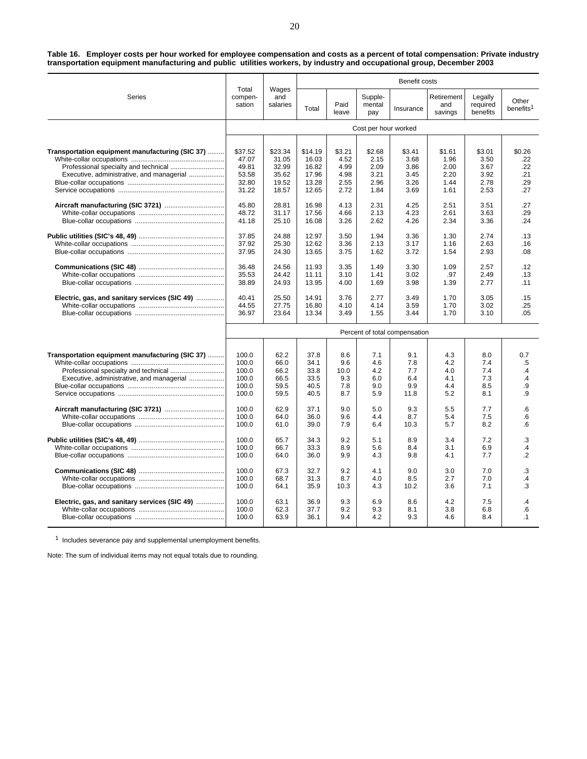**Table 16. Employer costs per hour worked for employee compensation and costs as a percent of total compensation: Private industry transportation equipment manufacturing and public utilities workers, by industry and occupational group, December 2003**

| Series                                          | Total<br>compen-<br>sation    | Wages<br>and<br>salaries | Benefit costs  |               |                          |              |                              |                                 |                                |  |
|-------------------------------------------------|-------------------------------|--------------------------|----------------|---------------|--------------------------|--------------|------------------------------|---------------------------------|--------------------------------|--|
|                                                 |                               |                          | Total          | Paid<br>leave | Supple-<br>mental<br>pay | Insurance    | Retirement<br>and<br>savings | Legally<br>required<br>benefits | Other<br>benefits <sup>1</sup> |  |
|                                                 | Cost per hour worked          |                          |                |               |                          |              |                              |                                 |                                |  |
|                                                 |                               |                          |                |               |                          |              |                              |                                 |                                |  |
| Transportation equipment manufacturing (SIC 37) | \$37.52                       | \$23.34                  | \$14.19        | \$3.21        | \$2.68                   | \$3.41       | \$1.61                       | \$3.01                          | \$0.26                         |  |
|                                                 | 47.07<br>49.81                | 31.05<br>32.99           | 16.03<br>16.82 | 4.52<br>4.99  | 2.15<br>2.09             | 3.68<br>3.86 | 1.96<br>2.00                 | 3.50<br>3.67                    | .22<br>.22                     |  |
| Executive, administrative, and managerial       | 53.58                         | 35.62                    | 17.96          | 4.98          | 3.21                     | 3.45         | 2.20                         | 3.92                            | .21                            |  |
|                                                 | 32.80                         | 19.52                    | 13.28          | 2.55          | 2.96                     | 3.26         | 1.44                         | 2.78                            | .29                            |  |
|                                                 | 31.22                         | 18.57                    | 12.65          | 2.72          | 1.84                     | 3.69         | 1.61                         | 2.53                            | .27                            |  |
|                                                 |                               |                          |                |               |                          |              |                              |                                 |                                |  |
|                                                 | 45.80                         | 28.81                    | 16.98          | 4.13          | 2.31                     | 4.25         | 2.51                         | 3.51                            | .27                            |  |
|                                                 | 48.72                         | 31.17                    | 17.56          | 4.66          | 2.13                     | 4.23         | 2.61                         | 3.63                            | .29                            |  |
|                                                 | 41.18                         | 25.10                    | 16.08          | 3.26          | 2.62                     | 4.26         | 2.34                         | 3.36                            | .24                            |  |
|                                                 |                               |                          |                |               |                          |              |                              |                                 |                                |  |
|                                                 | 37.85                         | 24.88                    | 12.97          | 3.50          | 1.94                     | 3.36         | 1.30                         | 2.74                            | .13                            |  |
|                                                 | 37.92                         | 25.30                    | 12.62          | 3.36          | 2.13                     | 3.17         | 1.16                         | 2.63                            | .16                            |  |
|                                                 | 37.95                         | 24.30                    | 13.65          | 3.75          | 1.62                     | 3.72         | 1.54                         | 2.93                            | .08                            |  |
|                                                 |                               |                          |                |               |                          |              |                              |                                 |                                |  |
|                                                 | 36.48                         | 24.56                    | 11.93          | 3.35          | 1.49                     | 3.30         | 1.09                         | 2.57                            | .12                            |  |
|                                                 | 35.53                         | 24.42                    | 11.11          | 3.10          | 1.41                     | 3.02         | .97                          | 2.49                            | .13                            |  |
|                                                 | 38.89                         | 24.93                    | 13.95          | 4.00          | 1.69                     | 3.98         | 1.39                         | 2.77                            | .11                            |  |
| Electric, gas, and sanitary services (SIC 49)   | 40.41                         | 25.50                    | 14.91          | 3.76          | 2.77                     | 3.49         | 1.70                         | 3.05                            | .15                            |  |
|                                                 | 44.55                         | 27.75                    | 16.80          | 4.10          | 4.14                     | 3.59         | 1.70                         | 3.02                            | .25                            |  |
|                                                 | 36.97                         | 23.64                    | 13.34          | 3.49          | 1.55                     | 3.44         | 1.70                         | 3.10                            | .05                            |  |
|                                                 |                               |                          |                |               |                          |              |                              |                                 |                                |  |
|                                                 | Percent of total compensation |                          |                |               |                          |              |                              |                                 |                                |  |
|                                                 |                               |                          |                |               |                          |              |                              |                                 |                                |  |
| Transportation equipment manufacturing (SIC 37) | 100.0                         | 62.2                     | 37.8           | 8.6           | 7.1                      | 9.1          | 4.3                          | 8.0                             | 0.7                            |  |
|                                                 | 100.0                         | 66.0                     | 34.1           | 9.6           | 4.6                      | 7.8          | 4.2                          | 7.4                             | $.5\,$                         |  |
|                                                 | 100.0                         | 66.2                     | 33.8           | 10.0          | 4.2                      | 7.7          | 4.0                          | 7.4                             | $\cdot$                        |  |
| Executive, administrative, and managerial       | 100.0                         | 66.5                     | 33.5           | 9.3           | 6.0                      | 6.4          | 4.1                          | 7.3                             | .4                             |  |
|                                                 | 100.0                         | 59.5                     | 40.5           | 7.8           | 9.0                      | 9.9          | 4.4                          | 8.5                             | .9                             |  |
|                                                 | 100.0                         | 59.5                     | 40.5           | 8.7           | 5.9                      | 11.8         | 5.2                          | 8.1                             | .9                             |  |
|                                                 | 100.0                         | 62.9                     | 37.1           | 9.0           | 5.0                      | 9.3          | 5.5                          | 7.7                             | .6                             |  |
|                                                 | 100.0                         | 64.0                     | 36.0           | 9.6           | 4.4                      | 8.7          | 5.4                          | 7.5                             | .6                             |  |
|                                                 | 100.0                         | 61.0                     | 39.0           | 7.9           | 6.4                      | 10.3         | 5.7                          | 8.2                             | .6                             |  |
|                                                 |                               |                          |                |               |                          |              |                              |                                 |                                |  |
|                                                 | 100.0                         | 65.7                     | 34.3           | 9.2           | 5.1                      | 8.9          | 3.4                          | 7.2                             | $\cdot$ 3                      |  |
|                                                 | 100.0                         | 66.7                     | 33.3           | 8.9           | 5.6                      | 8.4          | 3.1                          | 6.9                             | $\cdot$                        |  |
|                                                 | 100.0                         | 64.0                     | 36.0           | 9.9           | 4.3                      | 9.8          | 4.1                          | 7.7                             | $\cdot$ .2                     |  |
|                                                 |                               |                          |                |               |                          |              |                              |                                 |                                |  |
|                                                 | 100.0                         | 67.3                     | 32.7           | 9.2           | 4.1                      | 9.0          | 3.0                          | 7.0                             | .3                             |  |
|                                                 | 100.0                         | 68.7                     | 31.3           | 8.7           | 4.0                      | 8.5          | 2.7                          | 7.0                             | $\cdot$                        |  |
|                                                 | 100.0                         | 64.1                     | 35.9           | 10.3          | 4.3                      | 10.2         | 3.6                          | 7.1                             | .3                             |  |
|                                                 |                               |                          |                |               |                          |              |                              |                                 |                                |  |
| Electric, gas, and sanitary services (SIC 49)   | 100.0                         | 63.1                     | 36.9           | 9.3           | 6.9                      | 8.6          | 4.2                          | 7.5                             | .4                             |  |
|                                                 | 100.0                         | 62.3                     | 37.7           | 9.2           | 9.3                      | 8.1          | 3.8                          | 6.8                             | .6                             |  |
|                                                 | 100.0                         | 63.9                     | 36.1           | 9.4           | 4.2                      | 9.3          | 4.6                          | 8.4                             | $\cdot$ 1                      |  |

 $1$  Includes severance pay and supplemental unemployment benefits.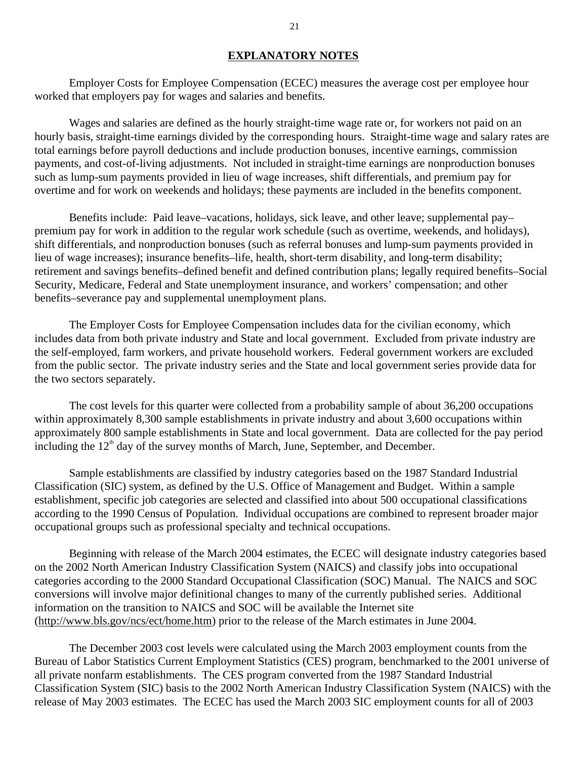#### **EXPLANATORY NOTES**

 Employer Costs for Employee Compensation (ECEC) measures the average cost per employee hour worked that employers pay for wages and salaries and benefits.

 Wages and salaries are defined as the hourly straight-time wage rate or, for workers not paid on an hourly basis, straight-time earnings divided by the corresponding hours. Straight-time wage and salary rates are total earnings before payroll deductions and include production bonuses, incentive earnings, commission payments, and cost-of-living adjustments. Not included in straight-time earnings are nonproduction bonuses such as lump-sum payments provided in lieu of wage increases, shift differentials, and premium pay for overtime and for work on weekends and holidays; these payments are included in the benefits component.

 Benefits include: Paid leave–vacations, holidays, sick leave, and other leave; supplemental pay– premium pay for work in addition to the regular work schedule (such as overtime, weekends, and holidays), shift differentials, and nonproduction bonuses (such as referral bonuses and lump-sum payments provided in lieu of wage increases); insurance benefits–life, health, short-term disability, and long-term disability; retirement and savings benefits–defined benefit and defined contribution plans; legally required benefits–Social Security, Medicare, Federal and State unemployment insurance, and workers' compensation; and other benefits–severance pay and supplemental unemployment plans.

 The Employer Costs for Employee Compensation includes data for the civilian economy, which includes data from both private industry and State and local government. Excluded from private industry are the self-employed, farm workers, and private household workers. Federal government workers are excluded from the public sector. The private industry series and the State and local government series provide data for the two sectors separately.

 The cost levels for this quarter were collected from a probability sample of about 36,200 occupations within approximately 8,300 sample establishments in private industry and about 3,600 occupations within approximately 800 sample establishments in State and local government. Data are collected for the pay period including the  $12<sup>th</sup>$  day of the survey months of March, June, September, and December.

Sample establishments are classified by industry categories based on the 1987 Standard Industrial Classification (SIC) system, as defined by the U.S. Office of Management and Budget. Within a sample establishment, specific job categories are selected and classified into about 500 occupational classifications according to the 1990 Census of Population. Individual occupations are combined to represent broader major occupational groups such as professional specialty and technical occupations.

Beginning with release of the March 2004 estimates, the ECEC will designate industry categories based on the 2002 North American Industry Classification System (NAICS) and classify jobs into occupational categories according to the 2000 Standard Occupational Classification (SOC) Manual. The NAICS and SOC conversions will involve major definitional changes to many of the currently published series. Additional information on the transition to NAICS and SOC will be available the Internet site (http://www.bls.gov/ncs/ect/home.htm) prior to the release of the March estimates in June 2004.

 The December 2003 cost levels were calculated using the March 2003 employment counts from the Bureau of Labor Statistics Current Employment Statistics (CES) program, benchmarked to the 2001 universe of all private nonfarm establishments. The CES program converted from the 1987 Standard Industrial Classification System (SIC) basis to the 2002 North American Industry Classification System (NAICS) with the release of May 2003 estimates. The ECEC has used the March 2003 SIC employment counts for all of 2003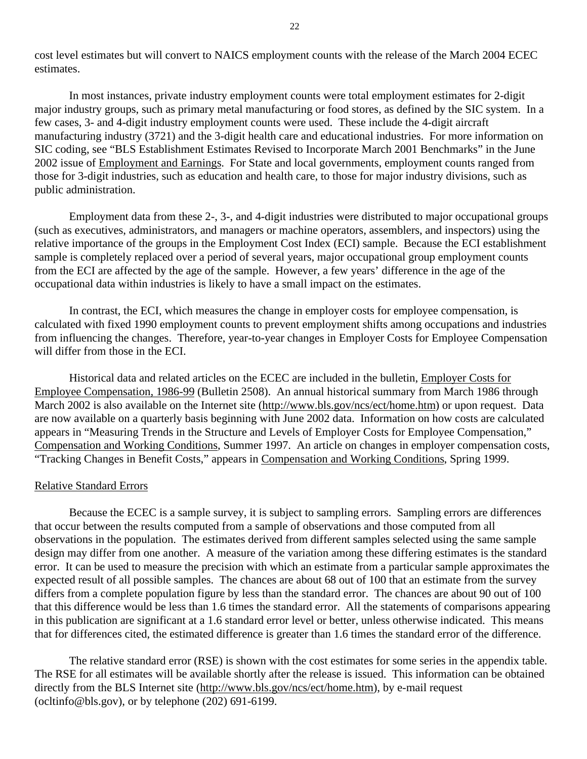cost level estimates but will convert to NAICS employment counts with the release of the March 2004 ECEC estimates.

In most instances, private industry employment counts were total employment estimates for 2-digit major industry groups, such as primary metal manufacturing or food stores, as defined by the SIC system. In a few cases, 3- and 4-digit industry employment counts were used. These include the 4-digit aircraft manufacturing industry (3721) and the 3-digit health care and educational industries. For more information on SIC coding, see "BLS Establishment Estimates Revised to Incorporate March 2001 Benchmarks" in the June 2002 issue of Employment and Earnings. For State and local governments, employment counts ranged from those for 3-digit industries, such as education and health care, to those for major industry divisions, such as public administration.

Employment data from these 2-, 3-, and 4-digit industries were distributed to major occupational groups (such as executives, administrators, and managers or machine operators, assemblers, and inspectors) using the relative importance of the groups in the Employment Cost Index (ECI) sample. Because the ECI establishment sample is completely replaced over a period of several years, major occupational group employment counts from the ECI are affected by the age of the sample. However, a few years' difference in the age of the occupational data within industries is likely to have a small impact on the estimates.

In contrast, the ECI, which measures the change in employer costs for employee compensation, is calculated with fixed 1990 employment counts to prevent employment shifts among occupations and industries from influencing the changes. Therefore, year-to-year changes in Employer Costs for Employee Compensation will differ from those in the ECI.

 Historical data and related articles on the ECEC are included in the bulletin, Employer Costs for Employee Compensation, 1986-99 (Bulletin 2508). An annual historical summary from March 1986 through March 2002 is also available on the Internet site (http://www.bls.gov/ncs/ect/home.htm) or upon request. Data are now available on a quarterly basis beginning with June 2002 data. Information on how costs are calculated appears in "Measuring Trends in the Structure and Levels of Employer Costs for Employee Compensation," Compensation and Working Conditions, Summer 1997. An article on changes in employer compensation costs, "Tracking Changes in Benefit Costs," appears in Compensation and Working Conditions, Spring 1999.

#### Relative Standard Errors

 Because the ECEC is a sample survey, it is subject to sampling errors. Sampling errors are differences that occur between the results computed from a sample of observations and those computed from all observations in the population. The estimates derived from different samples selected using the same sample design may differ from one another. A measure of the variation among these differing estimates is the standard error. It can be used to measure the precision with which an estimate from a particular sample approximates the expected result of all possible samples. The chances are about 68 out of 100 that an estimate from the survey differs from a complete population figure by less than the standard error. The chances are about 90 out of 100 that this difference would be less than 1.6 times the standard error. All the statements of comparisons appearing in this publication are significant at a 1.6 standard error level or better, unless otherwise indicated. This means that for differences cited, the estimated difference is greater than 1.6 times the standard error of the difference.

 The relative standard error (RSE) is shown with the cost estimates for some series in the appendix table. The RSE for all estimates will be available shortly after the release is issued. This information can be obtained directly from the BLS Internet site (http://www.bls.gov/ncs/ect/home.htm), by e-mail request (ocltinfo@bls.gov), or by telephone (202) 691-6199.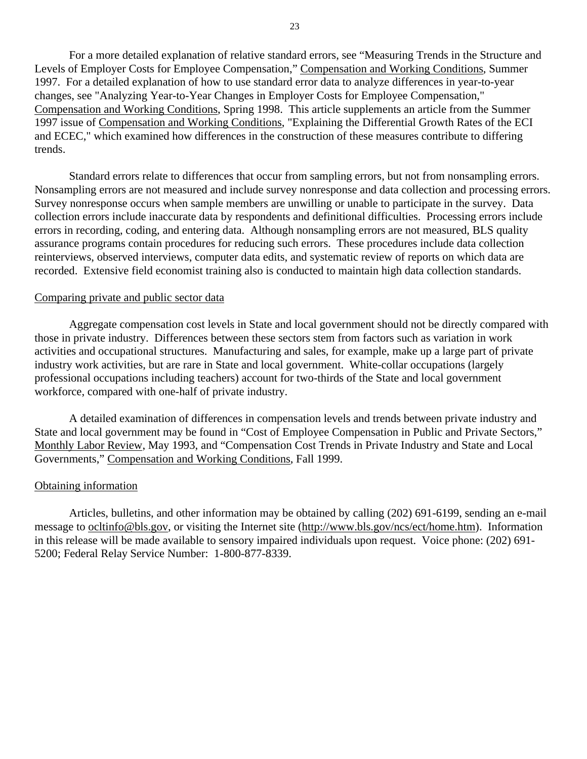For a more detailed explanation of relative standard errors, see "Measuring Trends in the Structure and Levels of Employer Costs for Employee Compensation," Compensation and Working Conditions, Summer 1997. For a detailed explanation of how to use standard error data to analyze differences in year-to-year changes, see "Analyzing Year-to-Year Changes in Employer Costs for Employee Compensation," Compensation and Working Conditions, Spring 1998. This article supplements an article from the Summer 1997 issue of Compensation and Working Conditions, "Explaining the Differential Growth Rates of the ECI and ECEC," which examined how differences in the construction of these measures contribute to differing trends.

Standard errors relate to differences that occur from sampling errors, but not from nonsampling errors. Nonsampling errors are not measured and include survey nonresponse and data collection and processing errors. Survey nonresponse occurs when sample members are unwilling or unable to participate in the survey. Data collection errors include inaccurate data by respondents and definitional difficulties. Processing errors include errors in recording, coding, and entering data. Although nonsampling errors are not measured, BLS quality assurance programs contain procedures for reducing such errors. These procedures include data collection reinterviews, observed interviews, computer data edits, and systematic review of reports on which data are recorded. Extensive field economist training also is conducted to maintain high data collection standards.

#### Comparing private and public sector data

 Aggregate compensation cost levels in State and local government should not be directly compared with those in private industry. Differences between these sectors stem from factors such as variation in work activities and occupational structures. Manufacturing and sales, for example, make up a large part of private industry work activities, but are rare in State and local government. White-collar occupations (largely professional occupations including teachers) account for two-thirds of the State and local government workforce, compared with one-half of private industry.

A detailed examination of differences in compensation levels and trends between private industry and State and local government may be found in "Cost of Employee Compensation in Public and Private Sectors," Monthly Labor Review, May 1993, and "Compensation Cost Trends in Private Industry and State and Local Governments," Compensation and Working Conditions, Fall 1999.

#### Obtaining information

Articles, bulletins, and other information may be obtained by calling (202) 691-6199, sending an e-mail message to ocltinfo@bls.gov, or visiting the Internet site (http://www.bls.gov/ncs/ect/home.htm). Information in this release will be made available to sensory impaired individuals upon request. Voice phone: (202) 691- 5200; Federal Relay Service Number: 1-800-877-8339.